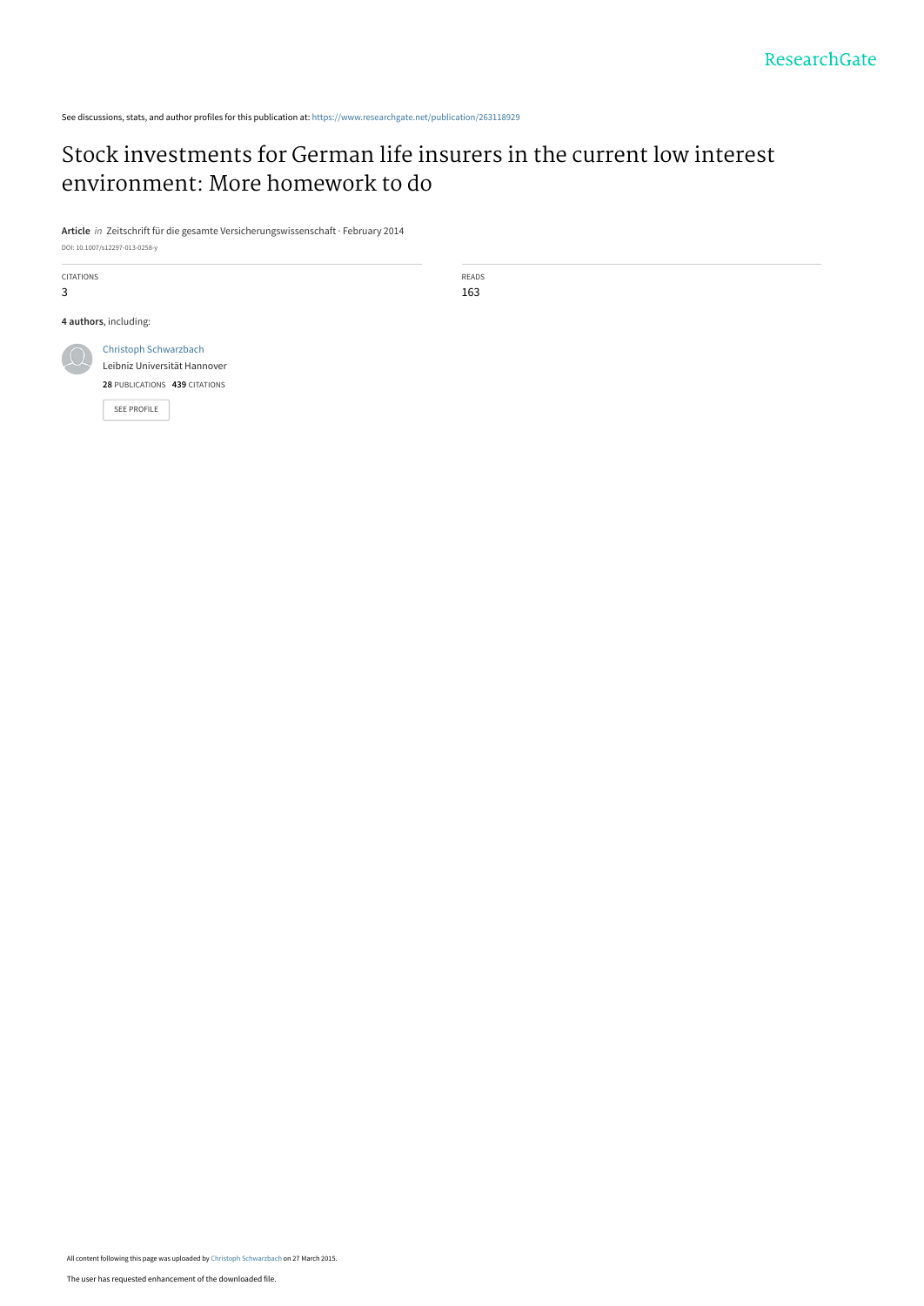See discussions, stats, and author profiles for this publication at: [https://www.researchgate.net/publication/263118929](https://www.researchgate.net/publication/263118929_Stock_investments_for_German_life_insurers_in_the_current_low_interest_environment_More_homework_to_do?enrichId=rgreq-494807bf5a618a78d70dba9ccd46a757-XXX&enrichSource=Y292ZXJQYWdlOzI2MzExODkyOTtBUzoyMTE2MDAyMjE5NzA0MzNAMTQyNzQ2MDgzMjQxMw%3D%3D&el=1_x_2&_esc=publicationCoverPdf)

# [Stock investments for German life insurers in the current low interest](https://www.researchgate.net/publication/263118929_Stock_investments_for_German_life_insurers_in_the_current_low_interest_environment_More_homework_to_do?enrichId=rgreq-494807bf5a618a78d70dba9ccd46a757-XXX&enrichSource=Y292ZXJQYWdlOzI2MzExODkyOTtBUzoyMTE2MDAyMjE5NzA0MzNAMTQyNzQ2MDgzMjQxMw%3D%3D&el=1_x_3&_esc=publicationCoverPdf) environment: More homework to do

**Article** in Zeitschrift für die gesamte Versicherungswissenschaft · February 2014

DOI: 10.1007/s12297-013-0258-y

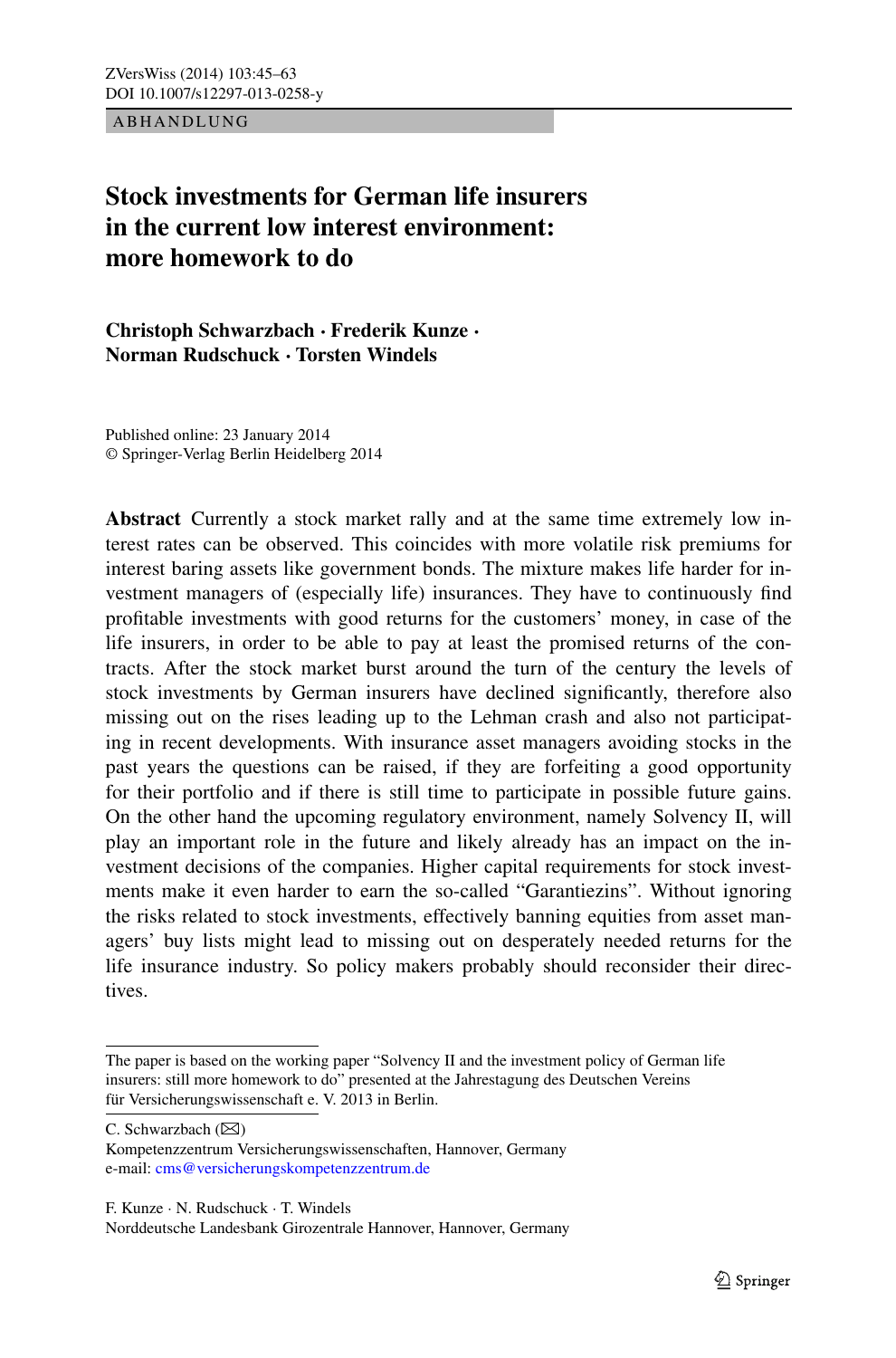ABHANDLUNG

# **Stock investments for German life insurers in the current low interest environment: more homework to do**

**Christoph Schwarzbach · Frederik Kunze · Norman Rudschuck · Torsten Windels**

Published online: 23 January 2014 © Springer-Verlag Berlin Heidelberg 2014

**Abstract** Currently a stock market rally and at the same time extremely low interest rates can be observed. This coincides with more volatile risk premiums for interest baring assets like government bonds. The mixture makes life harder for investment managers of (especially life) insurances. They have to continuously find profitable investments with good returns for the customers' money, in case of the life insurers, in order to be able to pay at least the promised returns of the contracts. After the stock market burst around the turn of the century the levels of stock investments by German insurers have declined significantly, therefore also missing out on the rises leading up to the Lehman crash and also not participating in recent developments. With insurance asset managers avoiding stocks in the past years the questions can be raised, if they are forfeiting a good opportunity for their portfolio and if there is still time to participate in possible future gains. On the other hand the upcoming regulatory environment, namely Solvency II, will play an important role in the future and likely already has an impact on the investment decisions of the companies. Higher capital requirements for stock investments make it even harder to earn the so-called "Garantiezins". Without ignoring the risks related to stock investments, effectively banning equities from asset managers' buy lists might lead to missing out on desperately needed returns for the life insurance industry. So policy makers probably should reconsider their directives.

Norddeutsche Landesbank Girozentrale Hannover, Hannover, Germany

The paper is based on the working paper "Solvency II and the investment policy of German life insurers: still more homework to do" presented at the Jahrestagung des Deutschen Vereins für Versicherungswissenschaft e. V. 2013 in Berlin.

C. Schwarzbach  $(\boxtimes)$ 

Kompetenzzentrum Versicherungswissenschaften, Hannover, Germany e-mail: [cms@versicherungskompetenzzentrum.de](mailto:cms@versicherungskompetenzzentrum.de)

F. Kunze · N. Rudschuck · T. Windels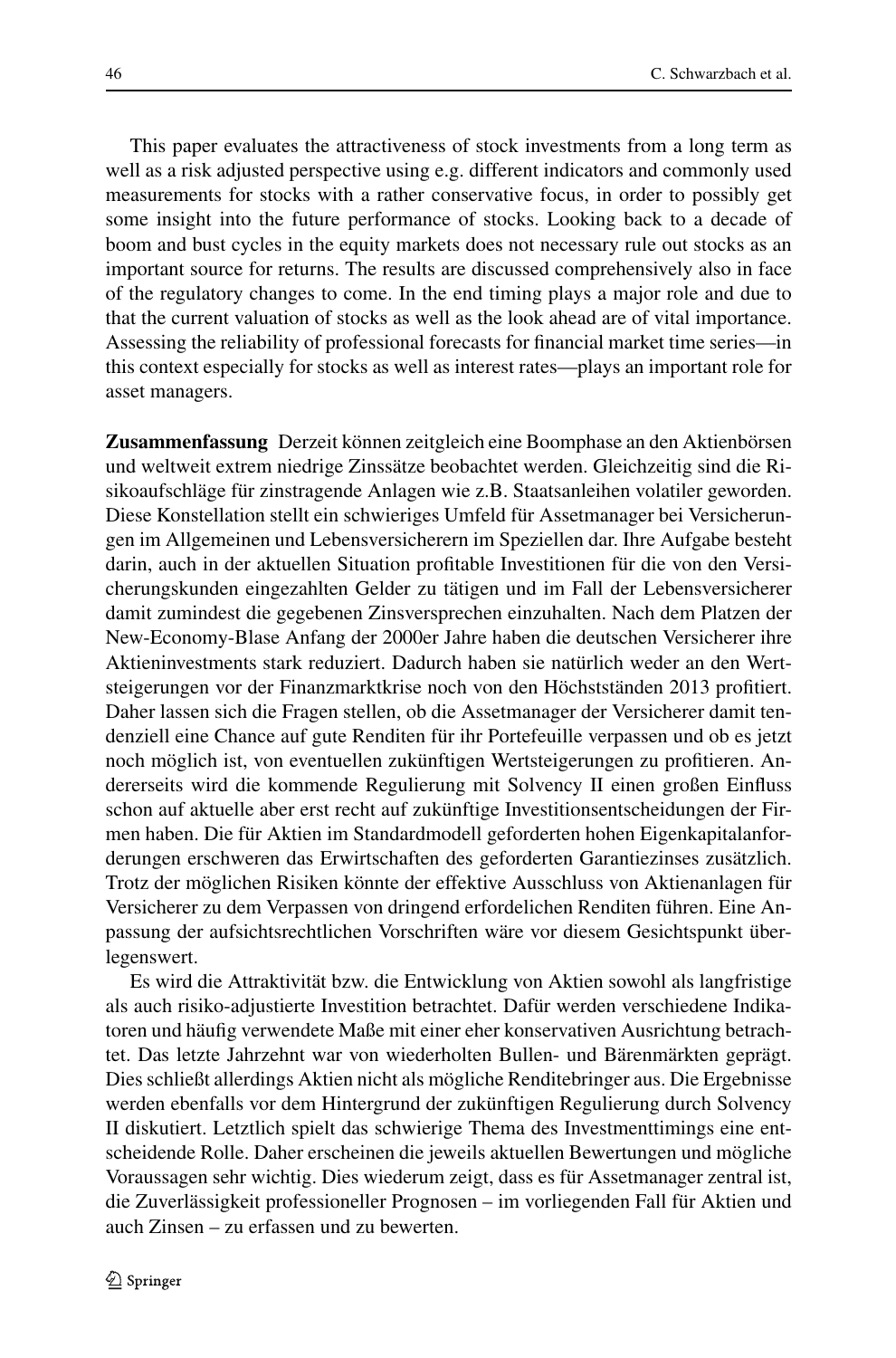This paper evaluates the attractiveness of stock investments from a long term as well as a risk adjusted perspective using e.g. different indicators and commonly used measurements for stocks with a rather conservative focus, in order to possibly get some insight into the future performance of stocks. Looking back to a decade of boom and bust cycles in the equity markets does not necessary rule out stocks as an important source for returns. The results are discussed comprehensively also in face of the regulatory changes to come. In the end timing plays a major role and due to that the current valuation of stocks as well as the look ahead are of vital importance. Assessing the reliability of professional forecasts for financial market time series—in this context especially for stocks as well as interest rates—plays an important role for asset managers.

**Zusammenfassung** Derzeit können zeitgleich eine Boomphase an den Aktienbörsen und weltweit extrem niedrige Zinssätze beobachtet werden. Gleichzeitig sind die Risikoaufschläge für zinstragende Anlagen wie z.B. Staatsanleihen volatiler geworden. Diese Konstellation stellt ein schwieriges Umfeld für Assetmanager bei Versicherungen im Allgemeinen und Lebensversicherern im Speziellen dar. Ihre Aufgabe besteht darin, auch in der aktuellen Situation profitable Investitionen für die von den Versicherungskunden eingezahlten Gelder zu tätigen und im Fall der Lebensversicherer damit zumindest die gegebenen Zinsversprechen einzuhalten. Nach dem Platzen der New-Economy-Blase Anfang der 2000er Jahre haben die deutschen Versicherer ihre Aktieninvestments stark reduziert. Dadurch haben sie natürlich weder an den Wertsteigerungen vor der Finanzmarktkrise noch von den Höchstständen 2013 profitiert. Daher lassen sich die Fragen stellen, ob die Assetmanager der Versicherer damit tendenziell eine Chance auf gute Renditen für ihr Portefeuille verpassen und ob es jetzt noch möglich ist, von eventuellen zukünftigen Wertsteigerungen zu profitieren. Andererseits wird die kommende Regulierung mit Solvency II einen großen Einfluss schon auf aktuelle aber erst recht auf zukünftige Investitionsentscheidungen der Firmen haben. Die für Aktien im Standardmodell geforderten hohen Eigenkapitalanforderungen erschweren das Erwirtschaften des geforderten Garantiezinses zusätzlich. Trotz der möglichen Risiken könnte der effektive Ausschluss von Aktienanlagen für Versicherer zu dem Verpassen von dringend erfordelichen Renditen führen. Eine Anpassung der aufsichtsrechtlichen Vorschriften wäre vor diesem Gesichtspunkt überlegenswert.

Es wird die Attraktivität bzw. die Entwicklung von Aktien sowohl als langfristige als auch risiko-adjustierte Investition betrachtet. Dafür werden verschiedene Indikatoren und häufig verwendete Maße mit einer eher konservativen Ausrichtung betrachtet. Das letzte Jahrzehnt war von wiederholten Bullen- und Bärenmärkten geprägt. Dies schließt allerdings Aktien nicht als mögliche Renditebringer aus. Die Ergebnisse werden ebenfalls vor dem Hintergrund der zukünftigen Regulierung durch Solvency II diskutiert. Letztlich spielt das schwierige Thema des Investmenttimings eine entscheidende Rolle. Daher erscheinen die jeweils aktuellen Bewertungen und mögliche Voraussagen sehr wichtig. Dies wiederum zeigt, dass es für Assetmanager zentral ist, die Zuverlässigkeit professioneller Prognosen – im vorliegenden Fall für Aktien und auch Zinsen – zu erfassen und zu bewerten.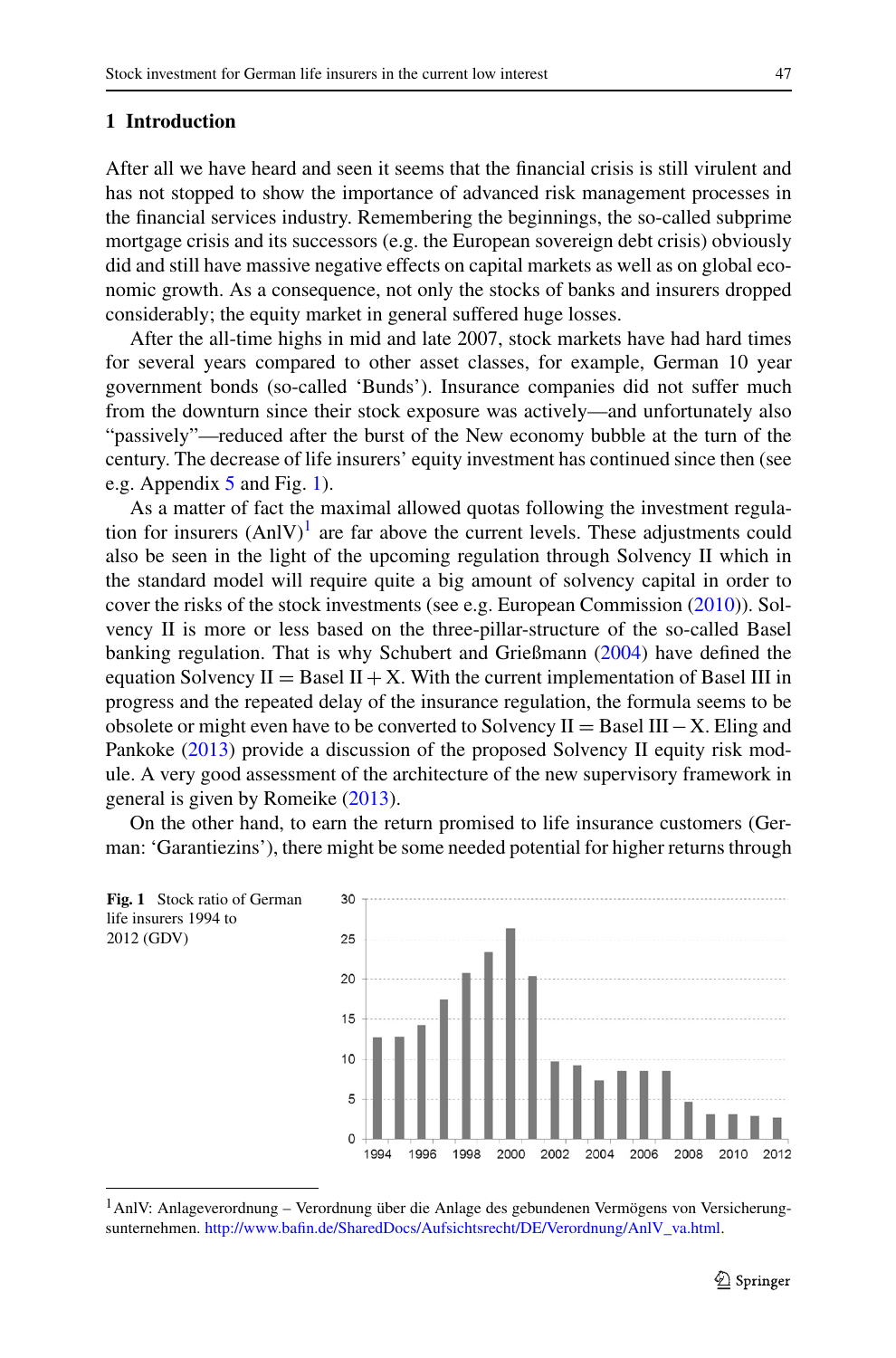#### <span id="page-3-2"></span>**1 Introduction**

After all we have heard and seen it seems that the financial crisis is still virulent and has not stopped to show the importance of advanced risk management processes in the financial services industry. Remembering the beginnings, the so-called subprime mortgage crisis and its successors (e.g. the European sovereign debt crisis) obviously did and still have massive negative effects on capital markets as well as on global economic growth. As a consequence, not only the stocks of banks and insurers dropped considerably; the equity market in general suffered huge losses.

After the all-time highs in mid and late 2007, stock markets have had hard times for several years compared to other asset classes, for example, German 10 year government bonds (so-called 'Bunds'). Insurance companies did not suffer much from the downturn since their stock exposure was actively—and unfortunately also "passively"—reduced after the burst of the New economy bubble at the turn of the century. The decrease of life insurers' equity investment has continued since then (see e.g. Appendix [5](#page-17-0) and Fig. [1](#page-3-0)).

As a matter of fact the maximal allowed quotas following the investment regulation for insurers  $(AnIV)^{1}$  are far above the current levels. These adjustments could also be seen in the light of the upcoming regulation through Solvency II which in the standard model will require quite a big amount of solvency capital in order to cover the risks of the stock investments (see e.g. European Commission ([2010\)](#page-18-0)). Solvency II is more or less based on the three-pillar-structure of the so-called Basel banking regulation. That is why Schubert and Grießmann ([2004\)](#page-19-0) have defined the equation Solvency  $II =$  Basel II + X. With the current implementation of Basel III in progress and the repeated delay of the insurance regulation, the formula seems to be obsolete or might even have to be converted to Solvency II = Basel III – X. Eling and Pankoke [\(2013](#page-18-1)) provide a discussion of the proposed Solvency II equity risk module. A very good assessment of the architecture of the new supervisory framework in general is given by Romeike [\(2013](#page-19-1)).

<span id="page-3-0"></span>On the other hand, to earn the return promised to life insurance customers (German: 'Garantiezins'), there might be some needed potential for higher returns through

<span id="page-3-1"></span>

<sup>1</sup>AnlV: Anlageverordnung – Verordnung über die Anlage des gebundenen Vermögens von Versicherungsunternehmen. [http://www.bafin.de/SharedDocs/Aufsichtsrecht/DE/Verordnung/AnlV\\_va.html.](http://www.bafin.de/SharedDocs/Aufsichtsrecht/DE/Verordnung/AnlV_va.html)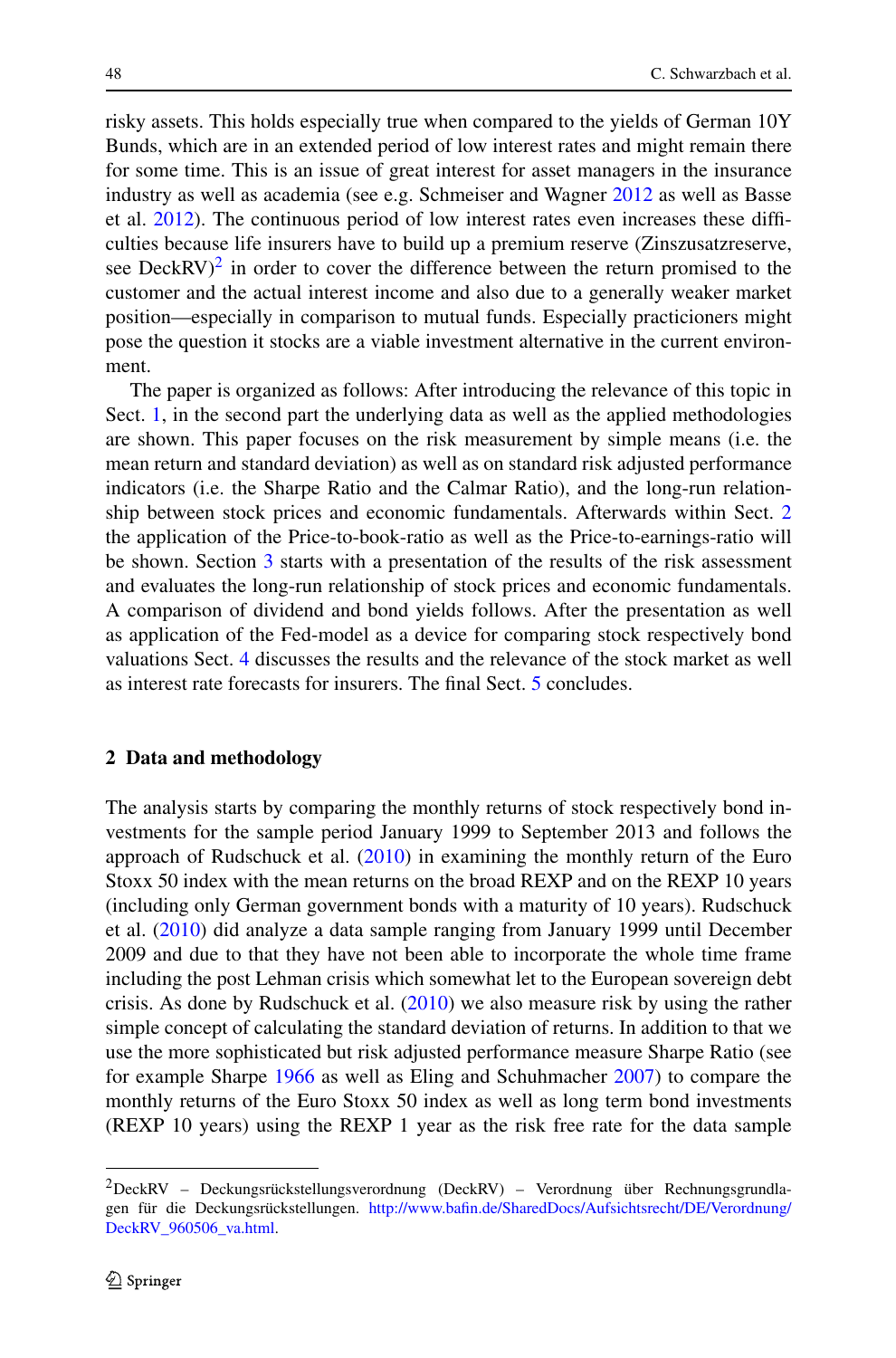risky assets. This holds especially true when compared to the yields of German 10Y Bunds, which are in an extended period of low interest rates and might remain there for some time. This is an issue of great interest for asset managers in the insurance industry as well as academia (see e.g. Schmeiser and Wagner [2012](#page-19-2) as well as Basse et al. [2012](#page-18-2)). The continuous period of low interest rates even increases these difficulties because life insurers have to build up a premium reserve (Zinszusatzreserve, see DeckRV)<sup>2</sup> in order to cover the difference between the return promised to the customer and the actual interest income and also due to a generally weaker market position—especially in comparison to mutual funds. Especially practicioners might pose the question it stocks are a viable investment alternative in the current environment.

The paper is organized as follows: After introducing the relevance of this topic in Sect. [1](#page-3-2), in the second part the underlying data as well as the applied methodologies are shown. This paper focuses on the risk measurement by simple means (i.e. the mean return and standard deviation) as well as on standard risk adjusted performance indicators (i.e. the Sharpe Ratio and the Calmar Ratio), and the long-run relationship between stock prices and economic fundamentals. Afterwards within Sect. [2](#page-4-1) the application of the Price-to-book-ratio as well as the Price-to-earnings-ratio will be shown. Section [3](#page-7-0) starts with a presentation of the results of the risk assessment and evaluates the long-run relationship of stock prices and economic fundamentals. A comparison of dividend and bond yields follows. After the presentation as well as application of the Fed-model as a device for comparing stock respectively bond valuations Sect. [4](#page-13-0) discusses the results and the relevance of the stock market as well as interest rate forecasts for insurers. The final Sect. [5](#page-16-0) concludes.

#### <span id="page-4-1"></span>**2 Data and methodology**

The analysis starts by comparing the monthly returns of stock respectively bond investments for the sample period January 1999 to September 2013 and follows the approach of Rudschuck et al. ([2010\)](#page-19-3) in examining the monthly return of the Euro Stoxx 50 index with the mean returns on the broad REXP and on the REXP 10 years (including only German government bonds with a maturity of 10 years). Rudschuck et al. [\(2010](#page-19-3)) did analyze a data sample ranging from January 1999 until December 2009 and due to that they have not been able to incorporate the whole time frame including the post Lehman crisis which somewhat let to the European sovereign debt crisis. As done by Rudschuck et al. [\(2010\)](#page-19-3) we also measure risk by using the rather simple concept of calculating the standard deviation of returns. In addition to that we use the more sophisticated but risk adjusted performance measure Sharpe Ratio (see for example Sharpe [1966](#page-19-4) as well as Eling and Schuhmacher [2007](#page-18-3)) to compare the monthly returns of the Euro Stoxx 50 index as well as long term bond investments (REXP 10 years) using the REXP 1 year as the risk free rate for the data sample

<span id="page-4-0"></span><sup>2</sup>DeckRV – Deckungsrückstellungsverordnung (DeckRV) – Verordnung über Rechnungsgrundlagen für die Deckungsrückstellungen. [http://www.bafin.de/SharedDocs/Aufsichtsrecht/DE/Verordnung/](http://www.bafin.de/SharedDocs/Aufsichtsrecht/DE/Verordnung/DeckRV_960506_va.html) [DeckRV\\_960506\\_va.html.](http://www.bafin.de/SharedDocs/Aufsichtsrecht/DE/Verordnung/DeckRV_960506_va.html)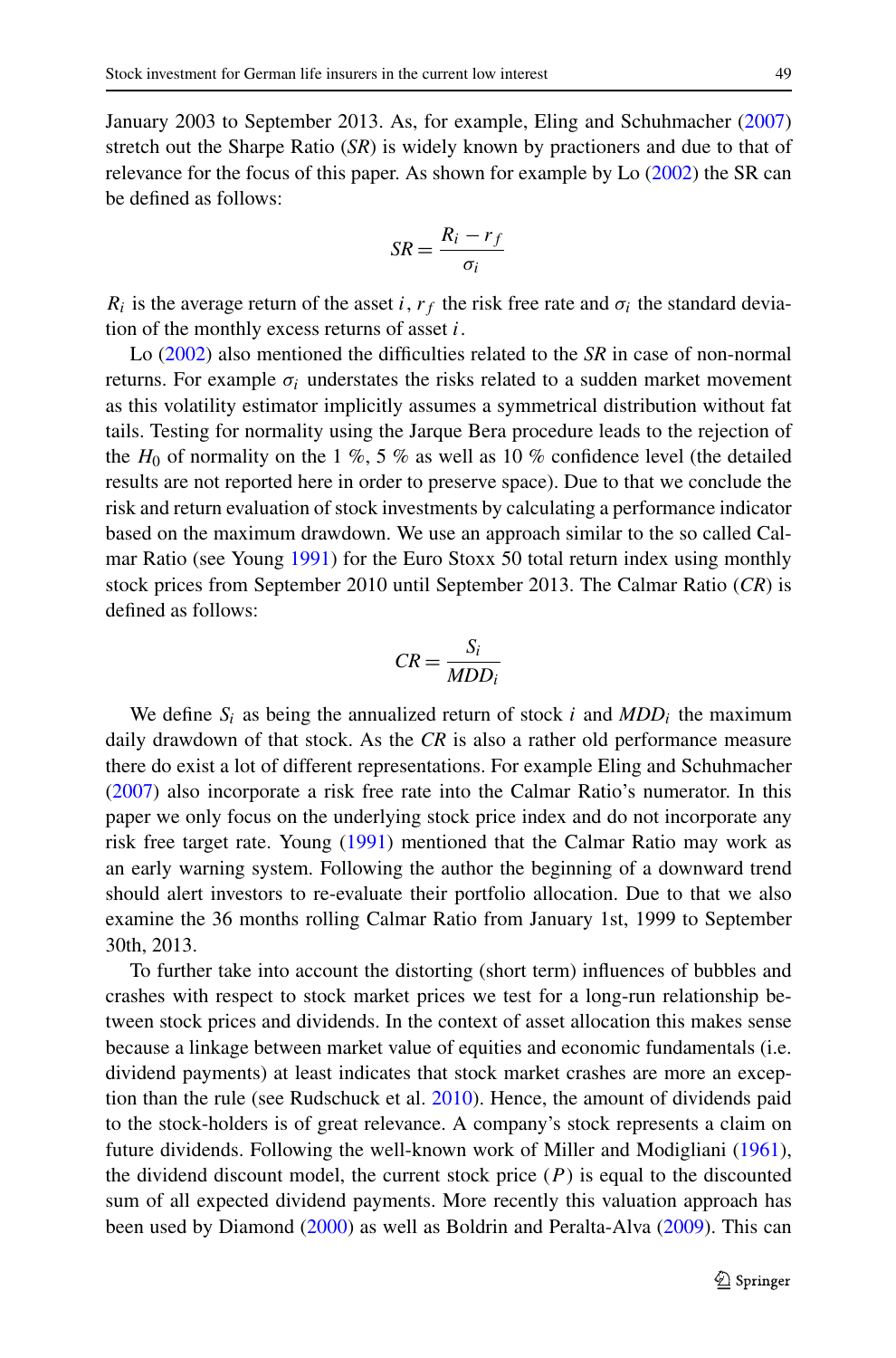January 2003 to September 2013. As, for example, Eling and Schuhmacher [\(2007](#page-18-3)) stretch out the Sharpe Ratio (*SR*) is widely known by practioners and due to that of relevance for the focus of this paper. As shown for example by Lo ([2002\)](#page-18-4) the SR can be defined as follows:

$$
SR = \frac{R_i - r_f}{\sigma_i}
$$

 $R_i$  is the average return of the asset *i*,  $r_f$  the risk free rate and  $\sigma_i$  the standard deviation of the monthly excess returns of asset *i*.

Lo ([2002\)](#page-18-4) also mentioned the difficulties related to the *SR* in case of non-normal returns. For example  $\sigma_i$  understates the risks related to a sudden market movement as this volatility estimator implicitly assumes a symmetrical distribution without fat tails. Testing for normality using the Jarque Bera procedure leads to the rejection of the  $H_0$  of normality on the 1 %, 5 % as well as 10 % confidence level (the detailed results are not reported here in order to preserve space). Due to that we conclude the risk and return evaluation of stock investments by calculating a performance indicator based on the maximum drawdown. We use an approach similar to the so called Calmar Ratio (see Young [1991](#page-19-5)) for the Euro Stoxx 50 total return index using monthly stock prices from September 2010 until September 2013. The Calmar Ratio (*CR*) is defined as follows:

$$
CR = \frac{S_i}{MDD_i}
$$

We define  $S_i$  as being the annualized return of stock *i* and  $MDD_i$  the maximum daily drawdown of that stock. As the *CR* is also a rather old performance measure there do exist a lot of different representations. For example Eling and Schuhmacher [\(2007](#page-18-3)) also incorporate a risk free rate into the Calmar Ratio's numerator. In this paper we only focus on the underlying stock price index and do not incorporate any risk free target rate. Young ([1991\)](#page-19-5) mentioned that the Calmar Ratio may work as an early warning system. Following the author the beginning of a downward trend should alert investors to re-evaluate their portfolio allocation. Due to that we also examine the 36 months rolling Calmar Ratio from January 1st, 1999 to September 30th, 2013.

To further take into account the distorting (short term) influences of bubbles and crashes with respect to stock market prices we test for a long-run relationship between stock prices and dividends. In the context of asset allocation this makes sense because a linkage between market value of equities and economic fundamentals (i.e. dividend payments) at least indicates that stock market crashes are more an exception than the rule (see Rudschuck et al. [2010\)](#page-19-3). Hence, the amount of dividends paid to the stock-holders is of great relevance. A company's stock represents a claim on future dividends. Following the well-known work of Miller and Modigliani ([1961\)](#page-18-5), the dividend discount model, the current stock price  $(P)$  is equal to the discounted sum of all expected dividend payments. More recently this valuation approach has been used by Diamond ([2000](#page-18-6)) as well as Boldrin and Peralta-Alva ([2009\)](#page-18-7). This can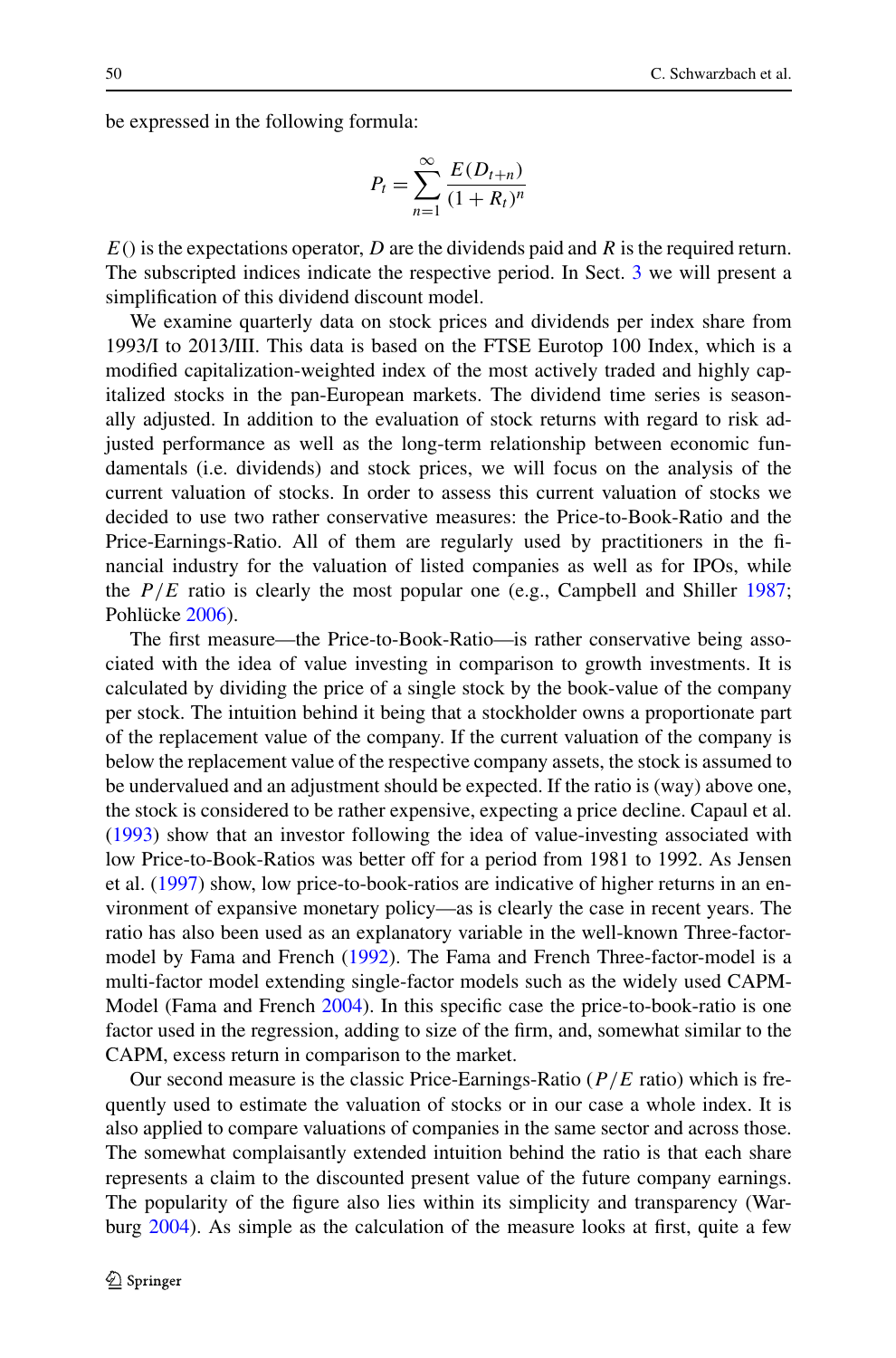be expressed in the following formula:

$$
P_t = \sum_{n=1}^{\infty} \frac{E(D_{t+n})}{(1+R_t)^n}
$$

*E()* is the expectations operator, *D* are the dividends paid and *R* is the required return. The subscripted indices indicate the respective period. In Sect. [3](#page-7-0) we will present a simplification of this dividend discount model.

We examine quarterly data on stock prices and dividends per index share from 1993/I to 2013/III. This data is based on the FTSE Eurotop 100 Index, which is a modified capitalization-weighted index of the most actively traded and highly capitalized stocks in the pan-European markets. The dividend time series is seasonally adjusted. In addition to the evaluation of stock returns with regard to risk adjusted performance as well as the long-term relationship between economic fundamentals (i.e. dividends) and stock prices, we will focus on the analysis of the current valuation of stocks. In order to assess this current valuation of stocks we decided to use two rather conservative measures: the Price-to-Book-Ratio and the Price-Earnings-Ratio. All of them are regularly used by practitioners in the financial industry for the valuation of listed companies as well as for IPOs, while the  $P/E$  ratio is clearly the most popular one (e.g., Campbell and Shiller [1987;](#page-18-8) Pohlücke [2006](#page-18-9)).

The first measure—the Price-to-Book-Ratio—is rather conservative being associated with the idea of value investing in comparison to growth investments. It is calculated by dividing the price of a single stock by the book-value of the company per stock. The intuition behind it being that a stockholder owns a proportionate part of the replacement value of the company. If the current valuation of the company is below the replacement value of the respective company assets, the stock is assumed to be undervalued and an adjustment should be expected. If the ratio is (way) above one, the stock is considered to be rather expensive, expecting a price decline. Capaul et al. [\(1993](#page-18-10)) show that an investor following the idea of value-investing associated with low Price-to-Book-Ratios was better off for a period from 1981 to 1992. As Jensen et al. [\(1997](#page-18-11)) show, low price-to-book-ratios are indicative of higher returns in an environment of expansive monetary policy—as is clearly the case in recent years. The ratio has also been used as an explanatory variable in the well-known Three-factormodel by Fama and French ([1992\)](#page-18-12). The Fama and French Three-factor-model is a multi-factor model extending single-factor models such as the widely used CAPM-Model (Fama and French [2004\)](#page-18-13). In this specific case the price-to-book-ratio is one factor used in the regression, adding to size of the firm, and, somewhat similar to the CAPM, excess return in comparison to the market.

Our second measure is the classic Price-Earnings-Ratio (*P/E* ratio) which is frequently used to estimate the valuation of stocks or in our case a whole index. It is also applied to compare valuations of companies in the same sector and across those. The somewhat complaisantly extended intuition behind the ratio is that each share represents a claim to the discounted present value of the future company earnings. The popularity of the figure also lies within its simplicity and transparency (Warburg [2004](#page-18-14)). As simple as the calculation of the measure looks at first, quite a few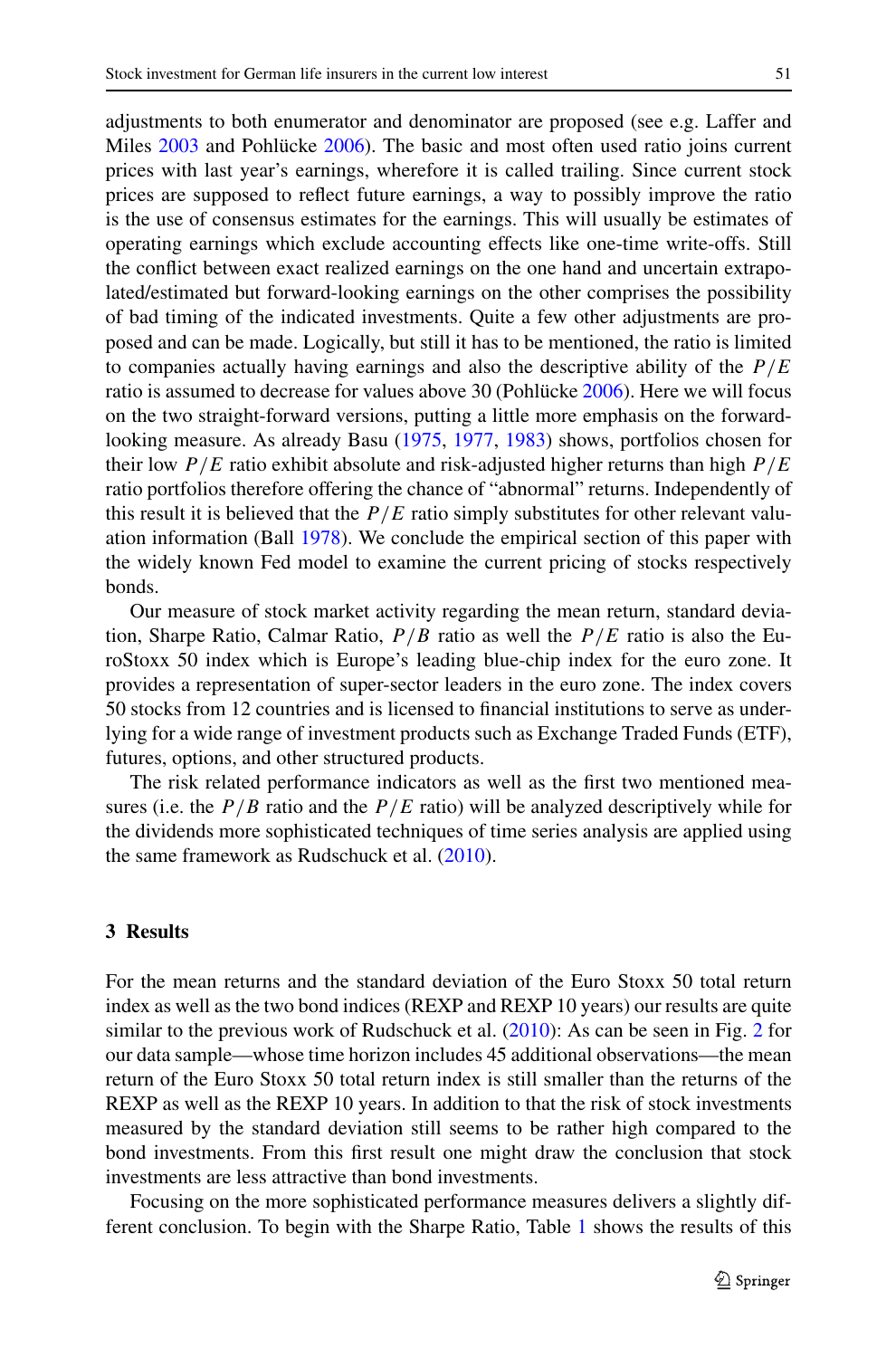adjustments to both enumerator and denominator are proposed (see e.g. Laffer and Miles [2003](#page-18-15) and Pohlücke [2006\)](#page-18-9). The basic and most often used ratio joins current prices with last year's earnings, wherefore it is called trailing. Since current stock prices are supposed to reflect future earnings, a way to possibly improve the ratio is the use of consensus estimates for the earnings. This will usually be estimates of operating earnings which exclude accounting effects like one-time write-offs. Still the conflict between exact realized earnings on the one hand and uncertain extrapolated/estimated but forward-looking earnings on the other comprises the possibility of bad timing of the indicated investments. Quite a few other adjustments are proposed and can be made. Logically, but still it has to be mentioned, the ratio is limited to companies actually having earnings and also the descriptive ability of the *P/E* ratio is assumed to decrease for values above 30 (Pohlücke [2006\)](#page-18-9). Here we will focus on the two straight-forward versions, putting a little more emphasis on the forwardlooking measure. As already Basu ([1975,](#page-18-16) [1977](#page-18-17), [1983\)](#page-18-18) shows, portfolios chosen for their low *P/E* ratio exhibit absolute and risk-adjusted higher returns than high *P/E* ratio portfolios therefore offering the chance of "abnormal" returns. Independently of this result it is believed that the  $P/E$  ratio simply substitutes for other relevant valuation information (Ball [1978](#page-17-1)). We conclude the empirical section of this paper with the widely known Fed model to examine the current pricing of stocks respectively bonds.

Our measure of stock market activity regarding the mean return, standard deviation, Sharpe Ratio, Calmar Ratio, *P/B* ratio as well the *P/E* ratio is also the EuroStoxx 50 index which is Europe's leading blue-chip index for the euro zone. It provides a representation of super-sector leaders in the euro zone. The index covers 50 stocks from 12 countries and is licensed to financial institutions to serve as underlying for a wide range of investment products such as Exchange Traded Funds (ETF), futures, options, and other structured products.

<span id="page-7-0"></span>The risk related performance indicators as well as the first two mentioned measures (i.e. the  $P/B$  ratio and the  $P/E$  ratio) will be analyzed descriptively while for the dividends more sophisticated techniques of time series analysis are applied using the same framework as Rudschuck et al. [\(2010\)](#page-19-3).

#### **3 Results**

For the mean returns and the standard deviation of the Euro Stoxx 50 total return index as well as the two bond indices (REXP and REXP 10 years) our results are quite similar to the previous work of Rudschuck et al. ([2010\)](#page-19-3): As can be seen in Fig. [2](#page-8-0) for our data sample—whose time horizon includes 45 additional observations—the mean return of the Euro Stoxx 50 total return index is still smaller than the returns of the REXP as well as the REXP 10 years. In addition to that the risk of stock investments measured by the standard deviation still seems to be rather high compared to the bond investments. From this first result one might draw the conclusion that stock investments are less attractive than bond investments.

Focusing on the more sophisticated performance measures delivers a slightly different conclusion. To begin with the Sharpe Ratio, Table [1](#page-8-1) shows the results of this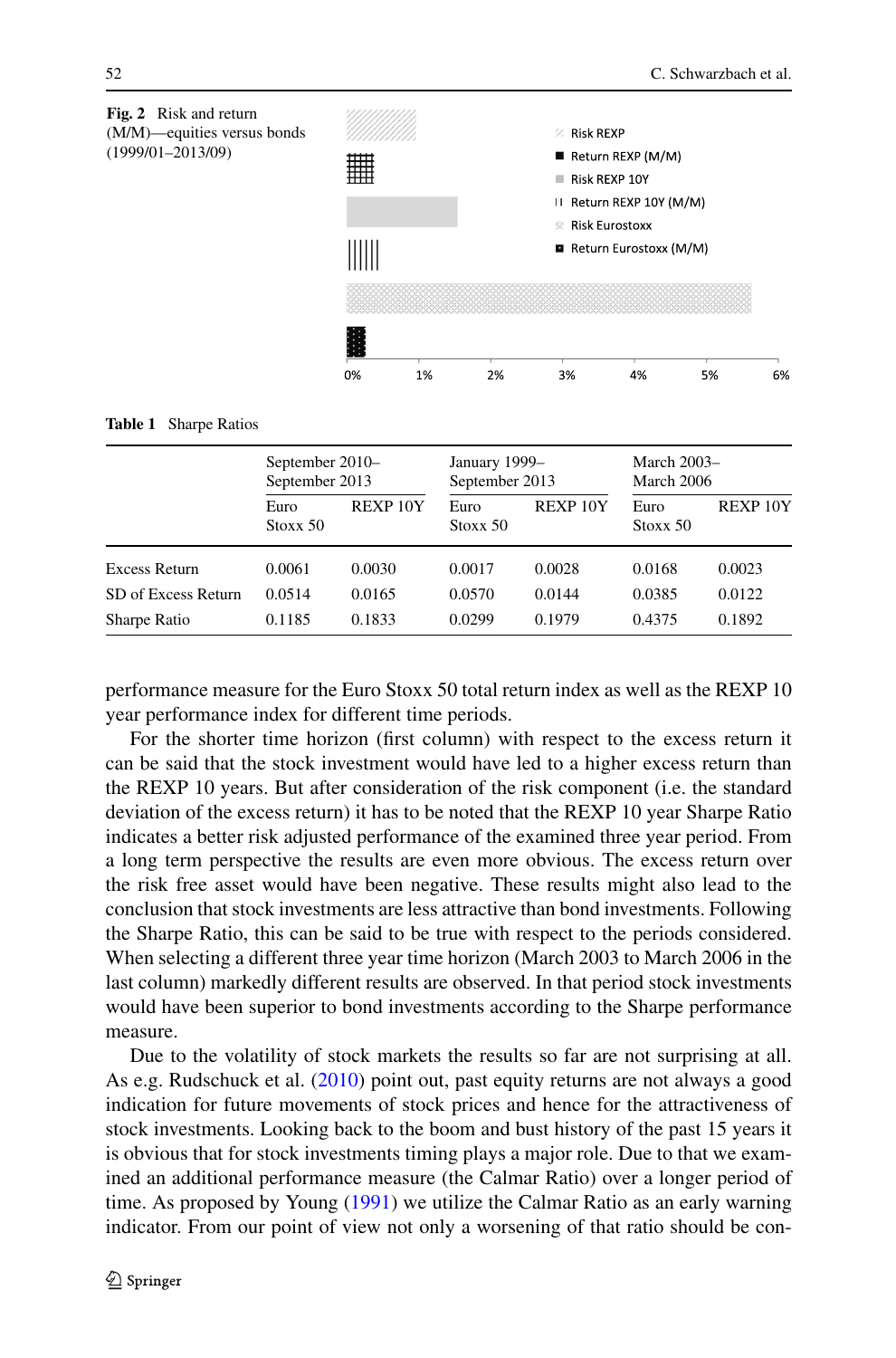<span id="page-8-1"></span><span id="page-8-0"></span>

| Table 1 | <b>Sharpe Ratios</b> |  |
|---------|----------------------|--|
|---------|----------------------|--|

|                      | September 2010-<br>September 2013 |                 | January 1999-<br>September 2013 |                 | <b>March 2003–</b><br>March 2006 |                 |
|----------------------|-----------------------------------|-----------------|---------------------------------|-----------------|----------------------------------|-----------------|
|                      | Euro<br>Stoux 50                  | <b>REXP 10Y</b> | Euro<br>Stoxx 50                | <b>REXP 10Y</b> | Euro<br>Stoxx 50                 | <b>REXP 10Y</b> |
| <b>Excess Return</b> | 0.0061                            | 0.0030          | 0.0017                          | 0.0028          | 0.0168                           | 0.0023          |
| SD of Excess Return  | 0.0514                            | 0.0165          | 0.0570                          | 0.0144          | 0.0385                           | 0.0122          |
| Sharpe Ratio         | 0.1185                            | 0.1833          | 0.0299                          | 0.1979          | 0.4375                           | 0.1892          |

performance measure for the Euro Stoxx 50 total return index as well as the REXP 10 year performance index for different time periods.

For the shorter time horizon (first column) with respect to the excess return it can be said that the stock investment would have led to a higher excess return than the REXP 10 years. But after consideration of the risk component (i.e. the standard deviation of the excess return) it has to be noted that the REXP 10 year Sharpe Ratio indicates a better risk adjusted performance of the examined three year period. From a long term perspective the results are even more obvious. The excess return over the risk free asset would have been negative. These results might also lead to the conclusion that stock investments are less attractive than bond investments. Following the Sharpe Ratio, this can be said to be true with respect to the periods considered. When selecting a different three year time horizon (March 2003 to March 2006 in the last column) markedly different results are observed. In that period stock investments would have been superior to bond investments according to the Sharpe performance measure.

Due to the volatility of stock markets the results so far are not surprising at all. As e.g. Rudschuck et al. ([2010\)](#page-19-3) point out, past equity returns are not always a good indication for future movements of stock prices and hence for the attractiveness of stock investments. Looking back to the boom and bust history of the past 15 years it is obvious that for stock investments timing plays a major role. Due to that we examined an additional performance measure (the Calmar Ratio) over a longer period of time. As proposed by Young ([1991\)](#page-19-5) we utilize the Calmar Ratio as an early warning indicator. From our point of view not only a worsening of that ratio should be con-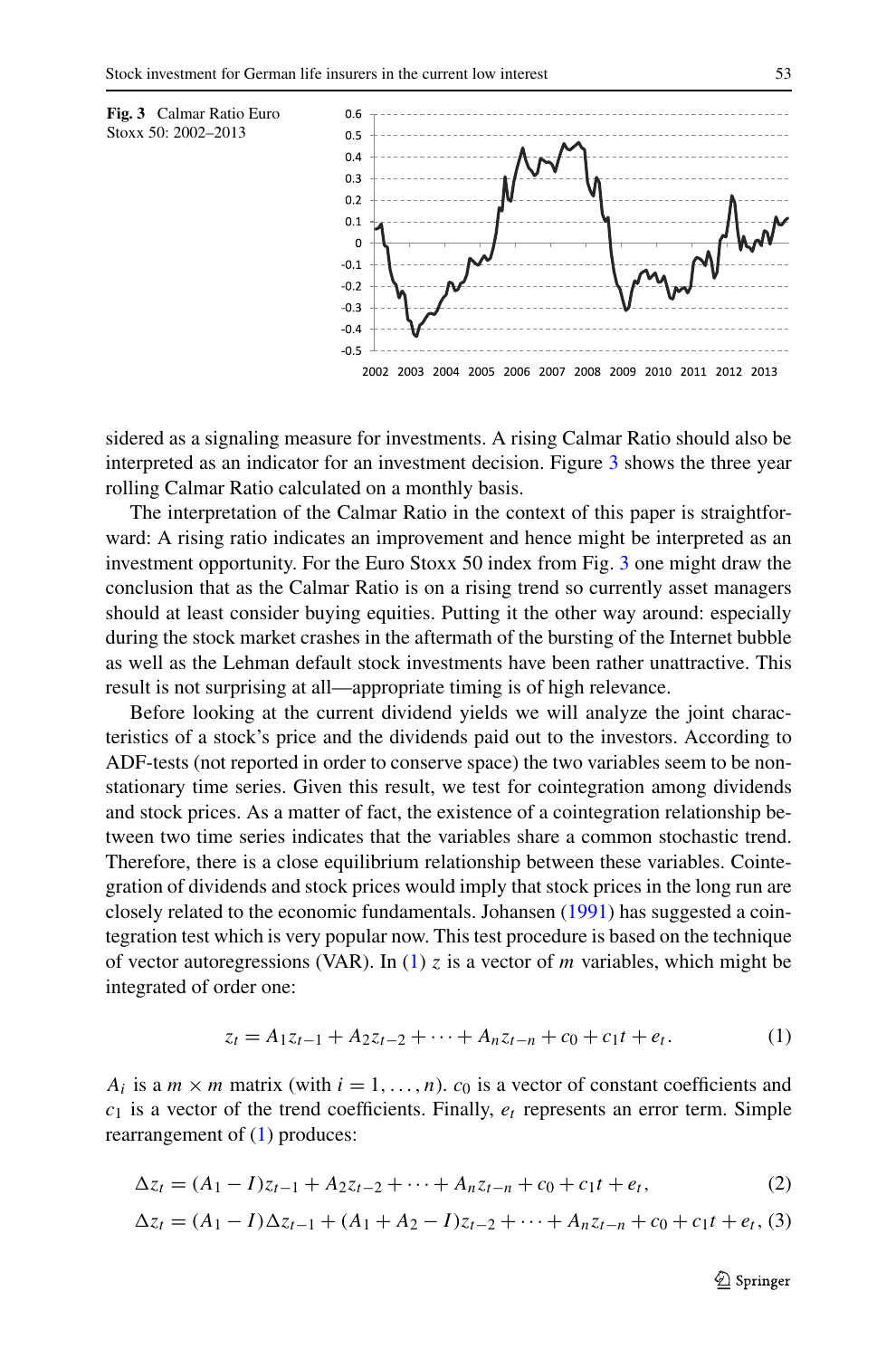<span id="page-9-0"></span>

sidered as a signaling measure for investments. A rising Calmar Ratio should also be interpreted as an indicator for an investment decision. Figure [3](#page-9-0) shows the three year rolling Calmar Ratio calculated on a monthly basis.

The interpretation of the Calmar Ratio in the context of this paper is straightforward: A rising ratio indicates an improvement and hence might be interpreted as an investment opportunity. For the Euro Stoxx 50 index from Fig. [3](#page-9-0) one might draw the conclusion that as the Calmar Ratio is on a rising trend so currently asset managers should at least consider buying equities. Putting it the other way around: especially during the stock market crashes in the aftermath of the bursting of the Internet bubble as well as the Lehman default stock investments have been rather unattractive. This result is not surprising at all—appropriate timing is of high relevance.

Before looking at the current dividend yields we will analyze the joint characteristics of a stock's price and the dividends paid out to the investors. According to ADF-tests (not reported in order to conserve space) the two variables seem to be nonstationary time series. Given this result, we test for cointegration among dividends and stock prices. As a matter of fact, the existence of a cointegration relationship between two time series indicates that the variables share a common stochastic trend. Therefore, there is a close equilibrium relationship between these variables. Cointegration of dividends and stock prices would imply that stock prices in the long run are closely related to the economic fundamentals. Johansen [\(1991](#page-18-19)) has suggested a cointegration test which is very popular now. This test procedure is based on the technique of vector autoregressions (VAR). In ([1\)](#page-9-1) *z* is a vector of *m* variables, which might be integrated of order one:

<span id="page-9-1"></span>
$$
z_t = A_1 z_{t-1} + A_2 z_{t-2} + \dots + A_n z_{t-n} + c_0 + c_1 t + e_t.
$$
 (1)

*A<sub>i</sub>* is a  $m \times m$  matrix (with  $i = 1, \ldots, n$ ).  $c_0$  is a vector of constant coefficients and *c*<sup>1</sup> is a vector of the trend coefficients. Finally, *et* represents an error term. Simple rearrangement of ([1\)](#page-9-1) produces:

$$
\Delta z_t = (A_1 - I)z_{t-1} + A_2 z_{t-2} + \dots + A_n z_{t-n} + c_0 + c_1 t + e_t, \tag{2}
$$

$$
\Delta z_t = (A_1 - I)\Delta z_{t-1} + (A_1 + A_2 - I)z_{t-2} + \dots + A_n z_{t-n} + c_0 + c_1 t + e_t, (3)
$$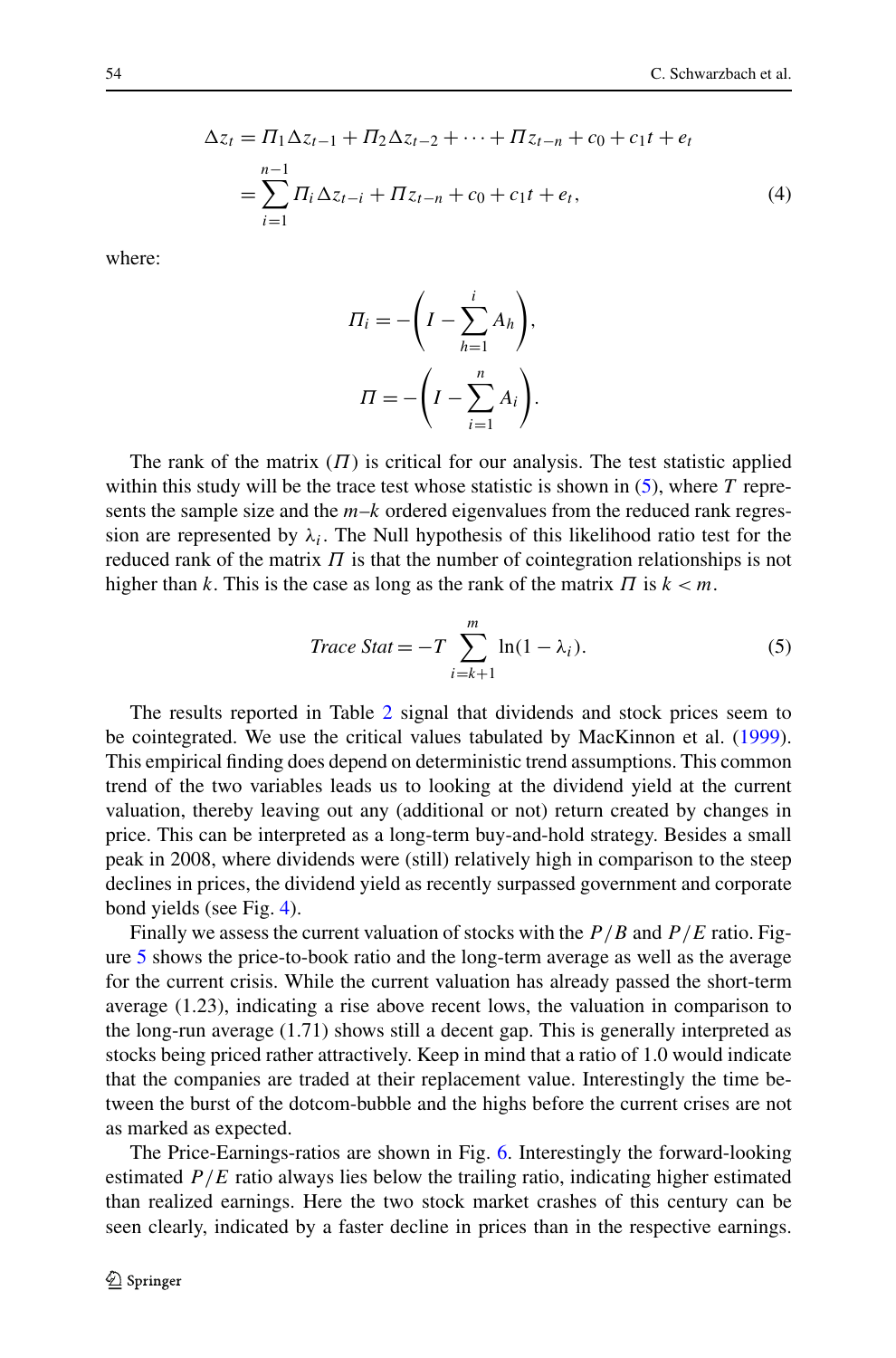$$
\Delta z_t = \Pi_1 \Delta z_{t-1} + \Pi_2 \Delta z_{t-2} + \dots + \Pi z_{t-n} + c_0 + c_1 t + e_t
$$
  
= 
$$
\sum_{i=1}^{n-1} \Pi_i \Delta z_{t-i} + \Pi z_{t-n} + c_0 + c_1 t + e_t,
$$
 (4)

where:

<span id="page-10-0"></span>
$$
\Pi_i = -\left(I - \sum_{h=1}^i A_h\right),
$$

$$
\Pi = -\left(I - \sum_{i=1}^n A_i\right).
$$

The rank of the matrix  $(\Pi)$  is critical for our analysis. The test statistic applied within this study will be the trace test whose statistic is shown in ([5\)](#page-10-0), where *T* represents the sample size and the *m*–*k* ordered eigenvalues from the reduced rank regression are represented by  $\lambda_i$ . The Null hypothesis of this likelihood ratio test for the reduced rank of the matrix  $\Pi$  is that the number of cointegration relationships is not higher than *k*. This is the case as long as the rank of the matrix *Π* is *k<m*.

$$
Trace\,\text{Stat} = -T\sum_{i=k+1}^{m} \ln(1 - \lambda_i). \tag{5}
$$

The results reported in Table [2](#page-11-0) signal that dividends and stock prices seem to be cointegrated. We use the critical values tabulated by MacKinnon et al. ([1999\)](#page-18-20). This empirical finding does depend on deterministic trend assumptions. This common trend of the two variables leads us to looking at the dividend yield at the current valuation, thereby leaving out any (additional or not) return created by changes in price. This can be interpreted as a long-term buy-and-hold strategy. Besides a small peak in 2008, where dividends were (still) relatively high in comparison to the steep declines in prices, the dividend yield as recently surpassed government and corporate bond yields (see Fig. [4](#page-11-1)).

Finally we assess the current valuation of stocks with the *P/B* and *P/E* ratio. Figure [5](#page-12-0) shows the price-to-book ratio and the long-term average as well as the average for the current crisis. While the current valuation has already passed the short-term average (1.23), indicating a rise above recent lows, the valuation in comparison to the long-run average (1.71) shows still a decent gap. This is generally interpreted as stocks being priced rather attractively. Keep in mind that a ratio of 1.0 would indicate that the companies are traded at their replacement value. Interestingly the time between the burst of the dotcom-bubble and the highs before the current crises are not as marked as expected.

The Price-Earnings-ratios are shown in Fig. [6.](#page-12-1) Interestingly the forward-looking estimated *P/E* ratio always lies below the trailing ratio, indicating higher estimated than realized earnings. Here the two stock market crashes of this century can be seen clearly, indicated by a faster decline in prices than in the respective earnings.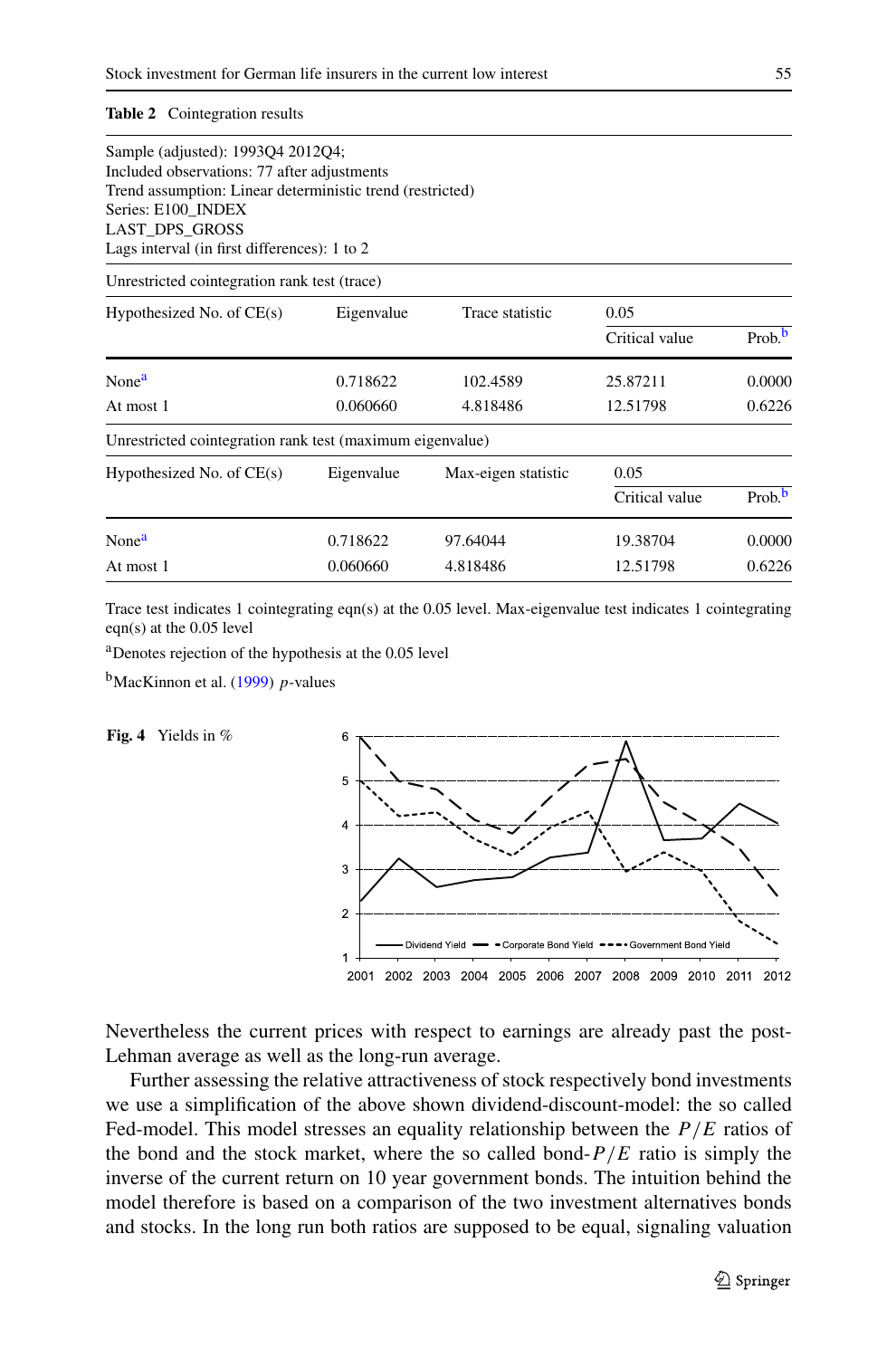#### <span id="page-11-0"></span>**Table 2** Cointegration results

Sample (adjusted): 1993Q4 2012Q4; Included observations: 77 after adjustments Trend assumption: Linear deterministic trend (restricted) Series: E100\_INDEX LAST\_DPS\_GROSS Lags interval (in first differences): 1 to 2

Unrestricted cointegration rank test (trace)

| Hypothesized No. of $CE(s)$                               | Eigenvalue | Trace statistic     | 0.05           |                   |  |
|-----------------------------------------------------------|------------|---------------------|----------------|-------------------|--|
|                                                           |            |                     | Critical value | Prob <sub>b</sub> |  |
| None <sup>a</sup>                                         | 0.718622   | 102.4589            | 25.87211       | 0.0000            |  |
| At most 1                                                 | 0.060660   | 4.818486            | 12.51798       | 0.6226            |  |
| Unrestricted cointegration rank test (maximum eigenvalue) |            |                     |                |                   |  |
| Hypothesized No. of $CE(s)$                               | Eigenvalue | Max-eigen statistic | 0.05           |                   |  |
|                                                           |            |                     | Critical value | Prob <sub>b</sub> |  |
| None <sup>a</sup>                                         | 0.718622   | 97.64044            | 19.38704       | 0.0000            |  |
| At most 1                                                 | 0.060660   | 4.818486            | 12.51798       | 0.6226            |  |

<span id="page-11-3"></span><span id="page-11-2"></span><span id="page-11-1"></span>Trace test indicates 1 cointegrating eqn(s) at the 0.05 level. Max-eigenvalue test indicates 1 cointegrating eqn(s) at the 0.05 level

aDenotes rejection of the hypothesis at the 0.05 level

bMacKinnon et al. ([1999\)](#page-18-20) *p*-values





Nevertheless the current prices with respect to earnings are already past the post-Lehman average as well as the long-run average.

Further assessing the relative attractiveness of stock respectively bond investments we use a simplification of the above shown dividend-discount-model: the so called Fed-model. This model stresses an equality relationship between the *P/E* ratios of the bond and the stock market, where the so called bond- $P/E$  ratio is simply the inverse of the current return on 10 year government bonds. The intuition behind the model therefore is based on a comparison of the two investment alternatives bonds and stocks. In the long run both ratios are supposed to be equal, signaling valuation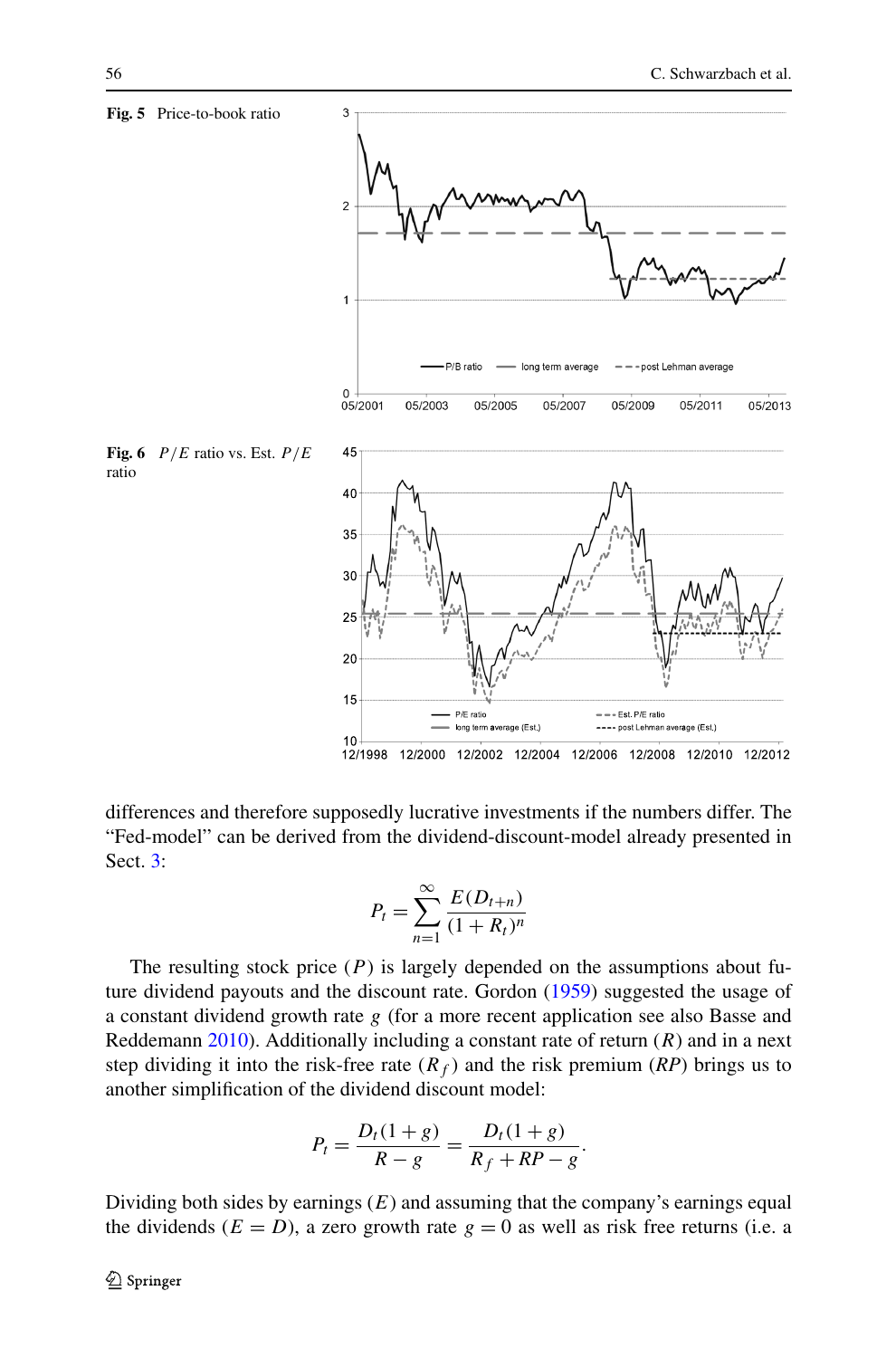<span id="page-12-1"></span><span id="page-12-0"></span>

differences and therefore supposedly lucrative investments if the numbers differ. The "Fed-model" can be derived from the dividend-discount-model already presented in Sect. [3:](#page-7-0)

$$
P_t = \sum_{n=1}^{\infty} \frac{E(D_{t+n})}{(1 + R_t)^n}
$$

The resulting stock price  $(P)$  is largely depended on the assumptions about future dividend payouts and the discount rate. Gordon [\(1959\)](#page-18-21) suggested the usage of a constant dividend growth rate *g* (for a more recent application see also Basse and Reddemann [2010\)](#page-17-2). Additionally including a constant rate of return (*R*) and in a next step dividing it into the risk-free rate  $(R_f)$  and the risk premium  $(RP)$  brings us to another simplification of the dividend discount model:

$$
P_t = \frac{D_t(1+g)}{R-g} = \frac{D_t(1+g)}{R_f + RP - g}.
$$

Dividing both sides by earnings (*E*) and assuming that the company's earnings equal the dividends  $(E = D)$ , a zero growth rate  $g = 0$  as well as risk free returns (i.e. a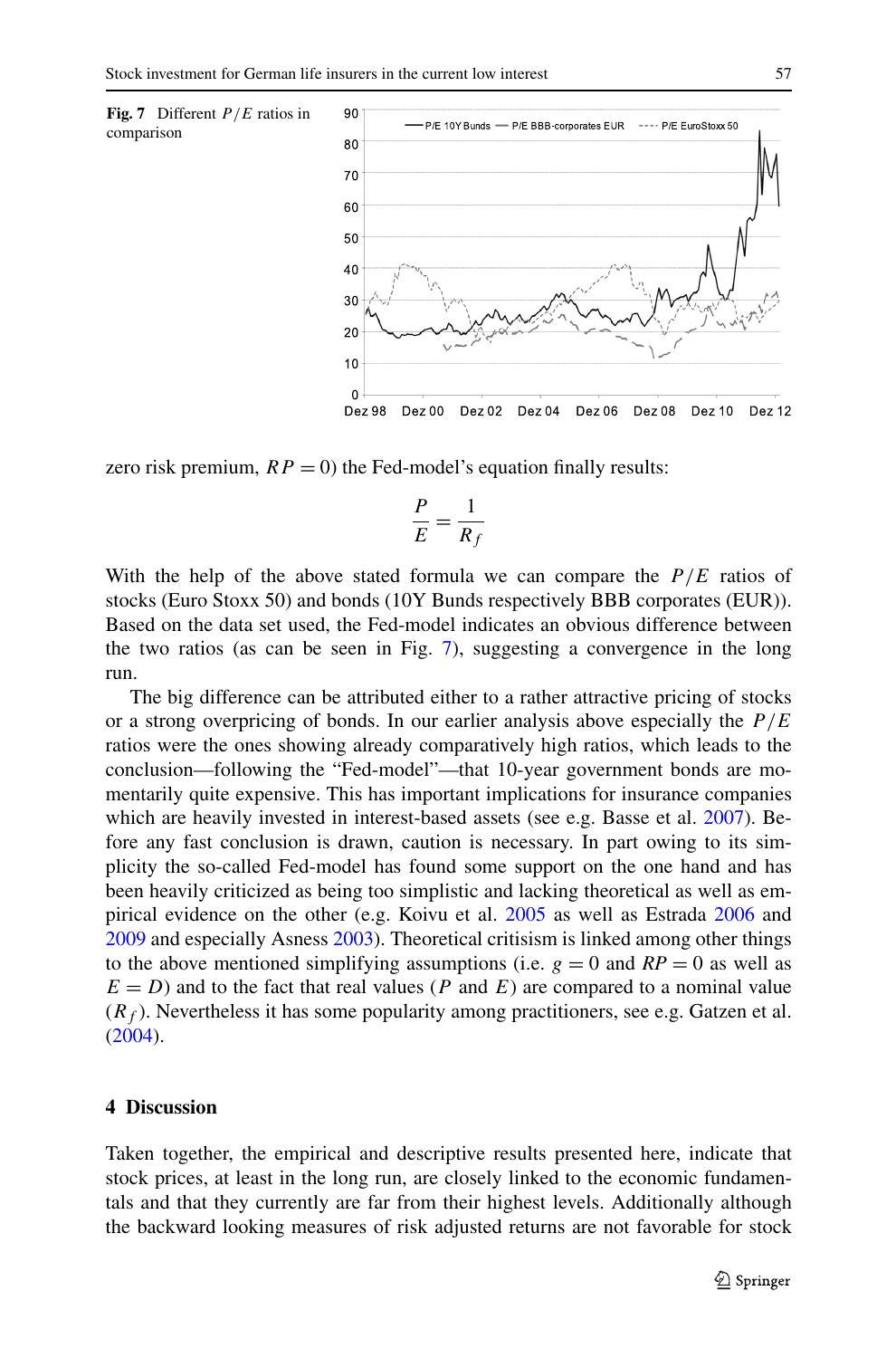<span id="page-13-1"></span>

zero risk premium,  $RP = 0$ ) the Fed-model's equation finally results:

$$
\frac{P}{E} = \frac{1}{R_f}
$$

With the help of the above stated formula we can compare the  $P/E$  ratios of stocks (Euro Stoxx 50) and bonds (10Y Bunds respectively BBB corporates (EUR)). Based on the data set used, the Fed-model indicates an obvious difference between the two ratios (as can be seen in Fig. [7\)](#page-13-1), suggesting a convergence in the long run.

The big difference can be attributed either to a rather attractive pricing of stocks or a strong overpricing of bonds. In our earlier analysis above especially the *P/E* ratios were the ones showing already comparatively high ratios, which leads to the conclusion—following the "Fed-model"—that 10-year government bonds are momentarily quite expensive. This has important implications for insurance companies which are heavily invested in interest-based assets (see e.g. Basse et al. [2007](#page-17-3)). Before any fast conclusion is drawn, caution is necessary. In part owing to its simplicity the so-called Fed-model has found some support on the one hand and has been heavily criticized as being too simplistic and lacking theoretical as well as empirical evidence on the other (e.g. Koivu et al. [2005](#page-18-22) as well as Estrada [2006](#page-18-23) and [2009](#page-18-24) and especially Asness [2003](#page-17-4)). Theoretical critisism is linked among other things to the above mentioned simplifying assumptions (i.e.  $g = 0$  and  $RP = 0$  as well as  $E = D$ ) and to the fact that real values (*P* and *E*) are compared to a nominal value  $(R_f)$ . Nevertheless it has some popularity among practitioners, see e.g. Gatzen et al. [\(2004](#page-18-25)).

#### <span id="page-13-0"></span>**4 Discussion**

Taken together, the empirical and descriptive results presented here, indicate that stock prices, at least in the long run, are closely linked to the economic fundamentals and that they currently are far from their highest levels. Additionally although the backward looking measures of risk adjusted returns are not favorable for stock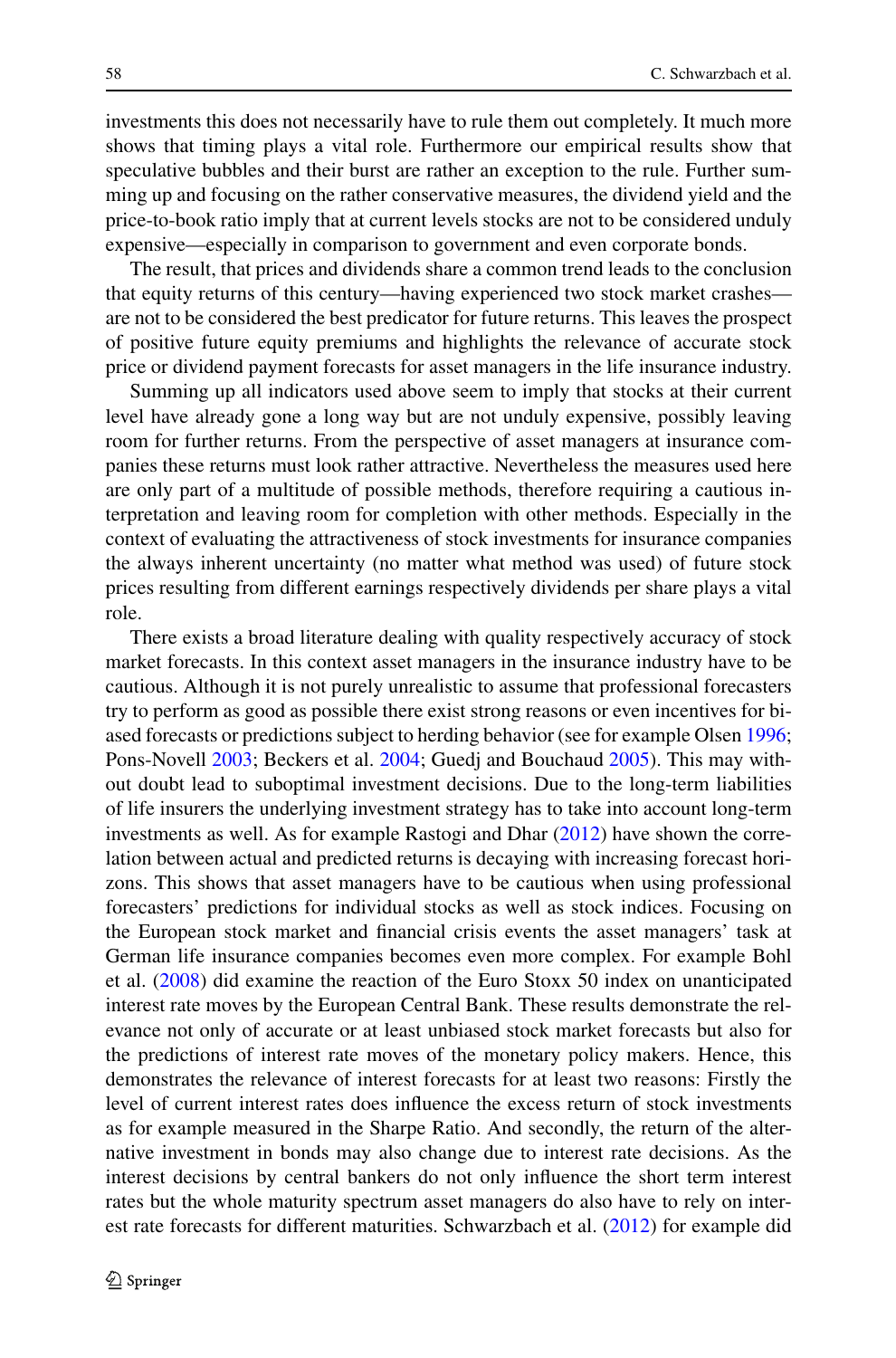investments this does not necessarily have to rule them out completely. It much more shows that timing plays a vital role. Furthermore our empirical results show that speculative bubbles and their burst are rather an exception to the rule. Further summing up and focusing on the rather conservative measures, the dividend yield and the price-to-book ratio imply that at current levels stocks are not to be considered unduly expensive—especially in comparison to government and even corporate bonds.

The result, that prices and dividends share a common trend leads to the conclusion that equity returns of this century—having experienced two stock market crashes are not to be considered the best predicator for future returns. This leaves the prospect of positive future equity premiums and highlights the relevance of accurate stock price or dividend payment forecasts for asset managers in the life insurance industry.

Summing up all indicators used above seem to imply that stocks at their current level have already gone a long way but are not unduly expensive, possibly leaving room for further returns. From the perspective of asset managers at insurance companies these returns must look rather attractive. Nevertheless the measures used here are only part of a multitude of possible methods, therefore requiring a cautious interpretation and leaving room for completion with other methods. Especially in the context of evaluating the attractiveness of stock investments for insurance companies the always inherent uncertainty (no matter what method was used) of future stock prices resulting from different earnings respectively dividends per share plays a vital role.

There exists a broad literature dealing with quality respectively accuracy of stock market forecasts. In this context asset managers in the insurance industry have to be cautious. Although it is not purely unrealistic to assume that professional forecasters try to perform as good as possible there exist strong reasons or even incentives for biased forecasts or predictions subject to herding behavior (see for example Olsen [1996;](#page-18-26) Pons-Novell [2003;](#page-19-6) Beckers et al. [2004](#page-18-27); Guedj and Bouchaud [2005\)](#page-18-28). This may without doubt lead to suboptimal investment decisions. Due to the long-term liabilities of life insurers the underlying investment strategy has to take into account long-term investments as well. As for example Rastogi and Dhar ([2012\)](#page-19-7) have shown the correlation between actual and predicted returns is decaying with increasing forecast horizons. This shows that asset managers have to be cautious when using professional forecasters' predictions for individual stocks as well as stock indices. Focusing on the European stock market and financial crisis events the asset managers' task at German life insurance companies becomes even more complex. For example Bohl et al. [\(2008](#page-18-29)) did examine the reaction of the Euro Stoxx 50 index on unanticipated interest rate moves by the European Central Bank. These results demonstrate the relevance not only of accurate or at least unbiased stock market forecasts but also for the predictions of interest rate moves of the monetary policy makers. Hence, this demonstrates the relevance of interest forecasts for at least two reasons: Firstly the level of current interest rates does influence the excess return of stock investments as for example measured in the Sharpe Ratio. And secondly, the return of the alternative investment in bonds may also change due to interest rate decisions. As the interest decisions by central bankers do not only influence the short term interest rates but the whole maturity spectrum asset managers do also have to rely on interest rate forecasts for different maturities. Schwarzbach et al. [\(2012](#page-19-8)) for example did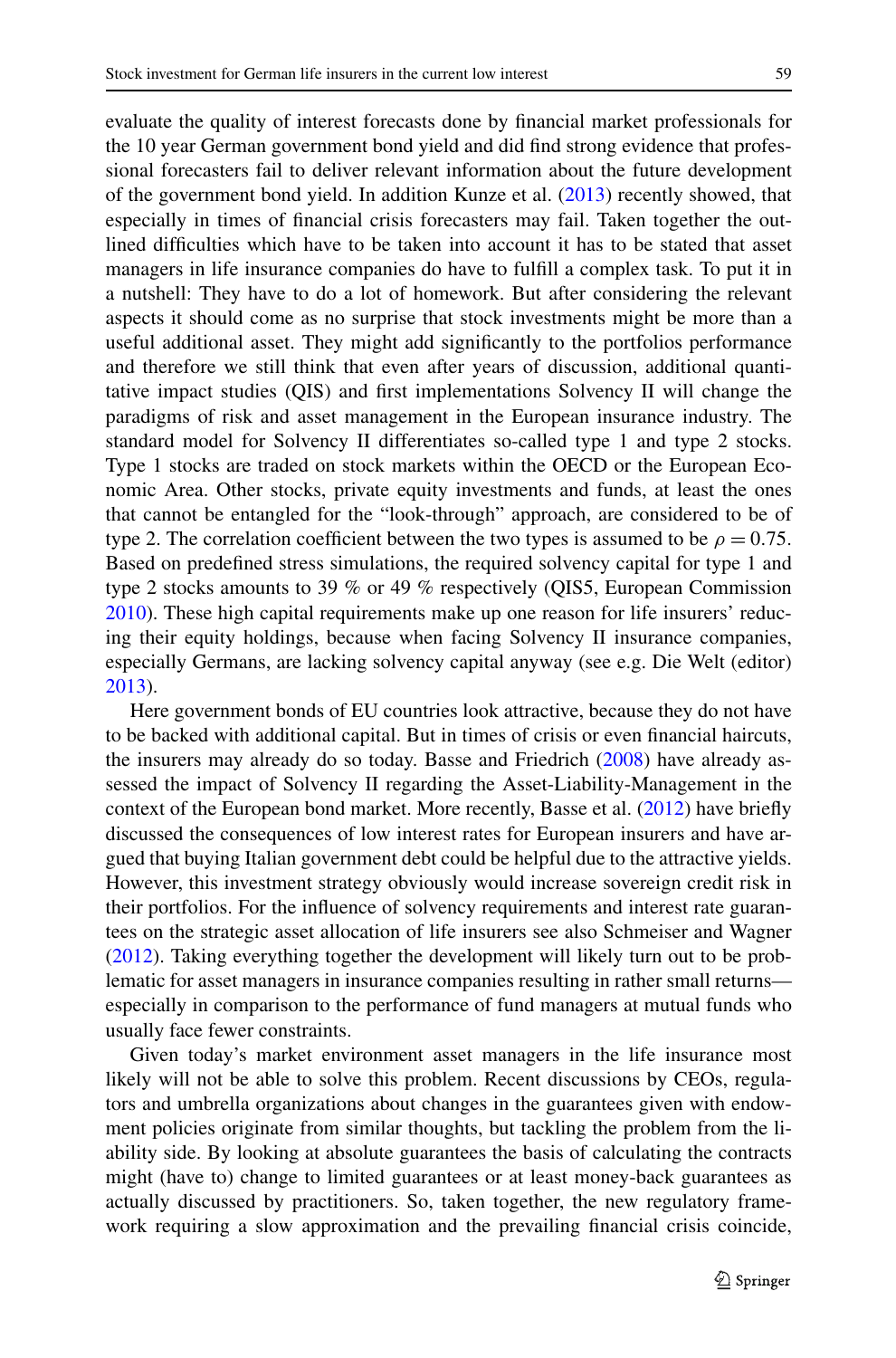evaluate the quality of interest forecasts done by financial market professionals for the 10 year German government bond yield and did find strong evidence that professional forecasters fail to deliver relevant information about the future development of the government bond yield. In addition Kunze et al. [\(2013](#page-18-30)) recently showed, that especially in times of financial crisis forecasters may fail. Taken together the outlined difficulties which have to be taken into account it has to be stated that asset managers in life insurance companies do have to fulfill a complex task. To put it in a nutshell: They have to do a lot of homework. But after considering the relevant aspects it should come as no surprise that stock investments might be more than a useful additional asset. They might add significantly to the portfolios performance and therefore we still think that even after years of discussion, additional quantitative impact studies (QIS) and first implementations Solvency II will change the paradigms of risk and asset management in the European insurance industry. The standard model for Solvency II differentiates so-called type 1 and type 2 stocks. Type 1 stocks are traded on stock markets within the OECD or the European Economic Area. Other stocks, private equity investments and funds, at least the ones that cannot be entangled for the "look-through" approach, are considered to be of type 2. The correlation coefficient between the two types is assumed to be  $\rho = 0.75$ . Based on predefined stress simulations, the required solvency capital for type 1 and type 2 stocks amounts to 39 % or 49 % respectively (QIS5, European Commission [2010\)](#page-18-0). These high capital requirements make up one reason for life insurers' reducing their equity holdings, because when facing Solvency II insurance companies, especially Germans, are lacking solvency capital anyway (see e.g. Die Welt (editor) [2013\)](#page-18-31).

Here government bonds of EU countries look attractive, because they do not have to be backed with additional capital. But in times of crisis or even financial haircuts, the insurers may already do so today. Basse and Friedrich ([2008\)](#page-18-32) have already assessed the impact of Solvency II regarding the Asset-Liability-Management in the context of the European bond market. More recently, Basse et al. ([2012\)](#page-18-2) have briefly discussed the consequences of low interest rates for European insurers and have argued that buying Italian government debt could be helpful due to the attractive yields. However, this investment strategy obviously would increase sovereign credit risk in their portfolios. For the influence of solvency requirements and interest rate guarantees on the strategic asset allocation of life insurers see also Schmeiser and Wagner [\(2012](#page-19-2)). Taking everything together the development will likely turn out to be problematic for asset managers in insurance companies resulting in rather small returns especially in comparison to the performance of fund managers at mutual funds who usually face fewer constraints.

Given today's market environment asset managers in the life insurance most likely will not be able to solve this problem. Recent discussions by CEOs, regulators and umbrella organizations about changes in the guarantees given with endowment policies originate from similar thoughts, but tackling the problem from the liability side. By looking at absolute guarantees the basis of calculating the contracts might (have to) change to limited guarantees or at least money-back guarantees as actually discussed by practitioners. So, taken together, the new regulatory framework requiring a slow approximation and the prevailing financial crisis coincide,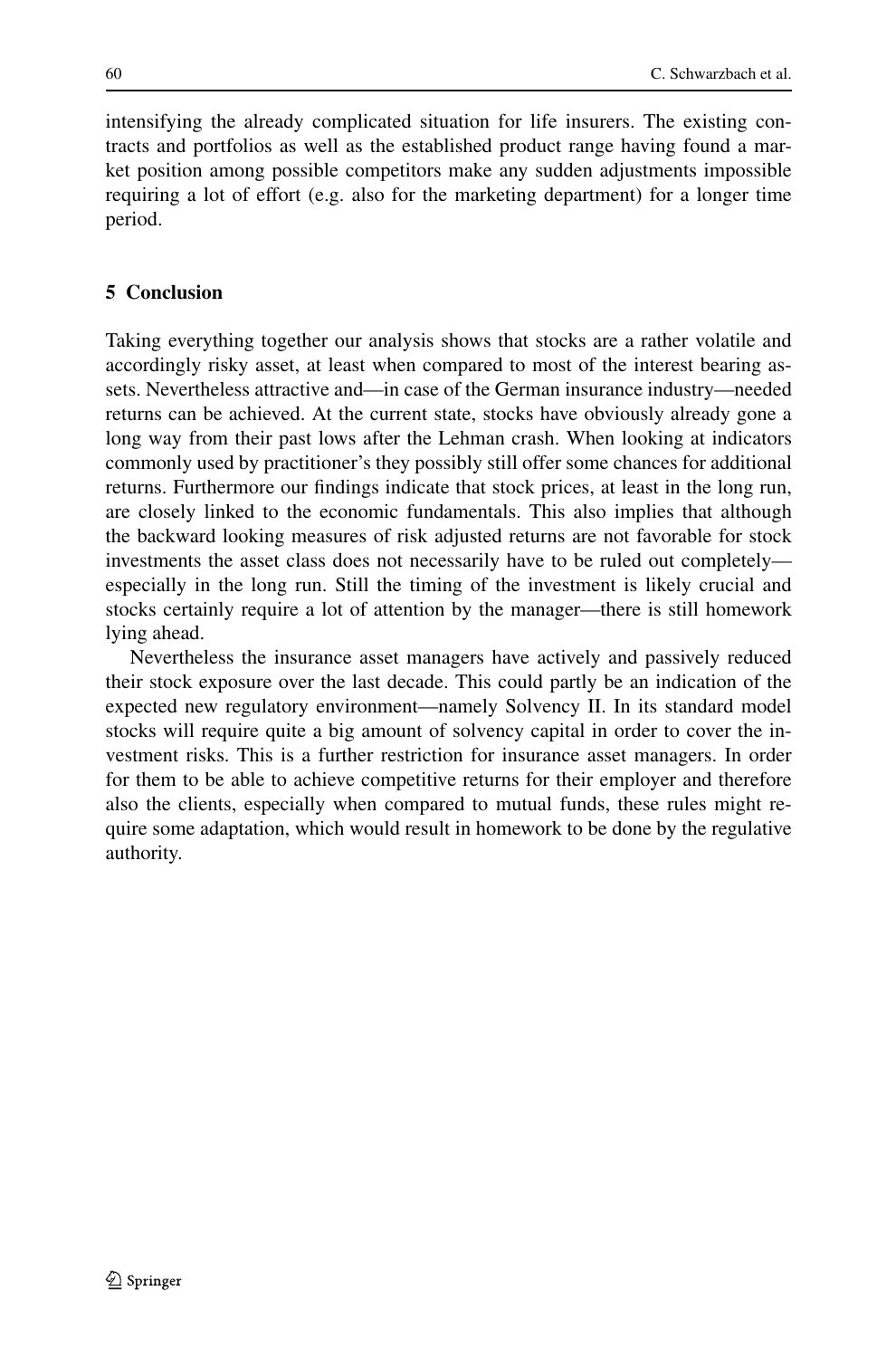<span id="page-16-0"></span>intensifying the already complicated situation for life insurers. The existing contracts and portfolios as well as the established product range having found a market position among possible competitors make any sudden adjustments impossible requiring a lot of effort (e.g. also for the marketing department) for a longer time period.

## **5 Conclusion**

Taking everything together our analysis shows that stocks are a rather volatile and accordingly risky asset, at least when compared to most of the interest bearing assets. Nevertheless attractive and—in case of the German insurance industry—needed returns can be achieved. At the current state, stocks have obviously already gone a long way from their past lows after the Lehman crash. When looking at indicators commonly used by practitioner's they possibly still offer some chances for additional returns. Furthermore our findings indicate that stock prices, at least in the long run, are closely linked to the economic fundamentals. This also implies that although the backward looking measures of risk adjusted returns are not favorable for stock investments the asset class does not necessarily have to be ruled out completely especially in the long run. Still the timing of the investment is likely crucial and stocks certainly require a lot of attention by the manager—there is still homework lying ahead.

Nevertheless the insurance asset managers have actively and passively reduced their stock exposure over the last decade. This could partly be an indication of the expected new regulatory environment—namely Solvency II. In its standard model stocks will require quite a big amount of solvency capital in order to cover the investment risks. This is a further restriction for insurance asset managers. In order for them to be able to achieve competitive returns for their employer and therefore also the clients, especially when compared to mutual funds, these rules might require some adaptation, which would result in homework to be done by the regulative authority.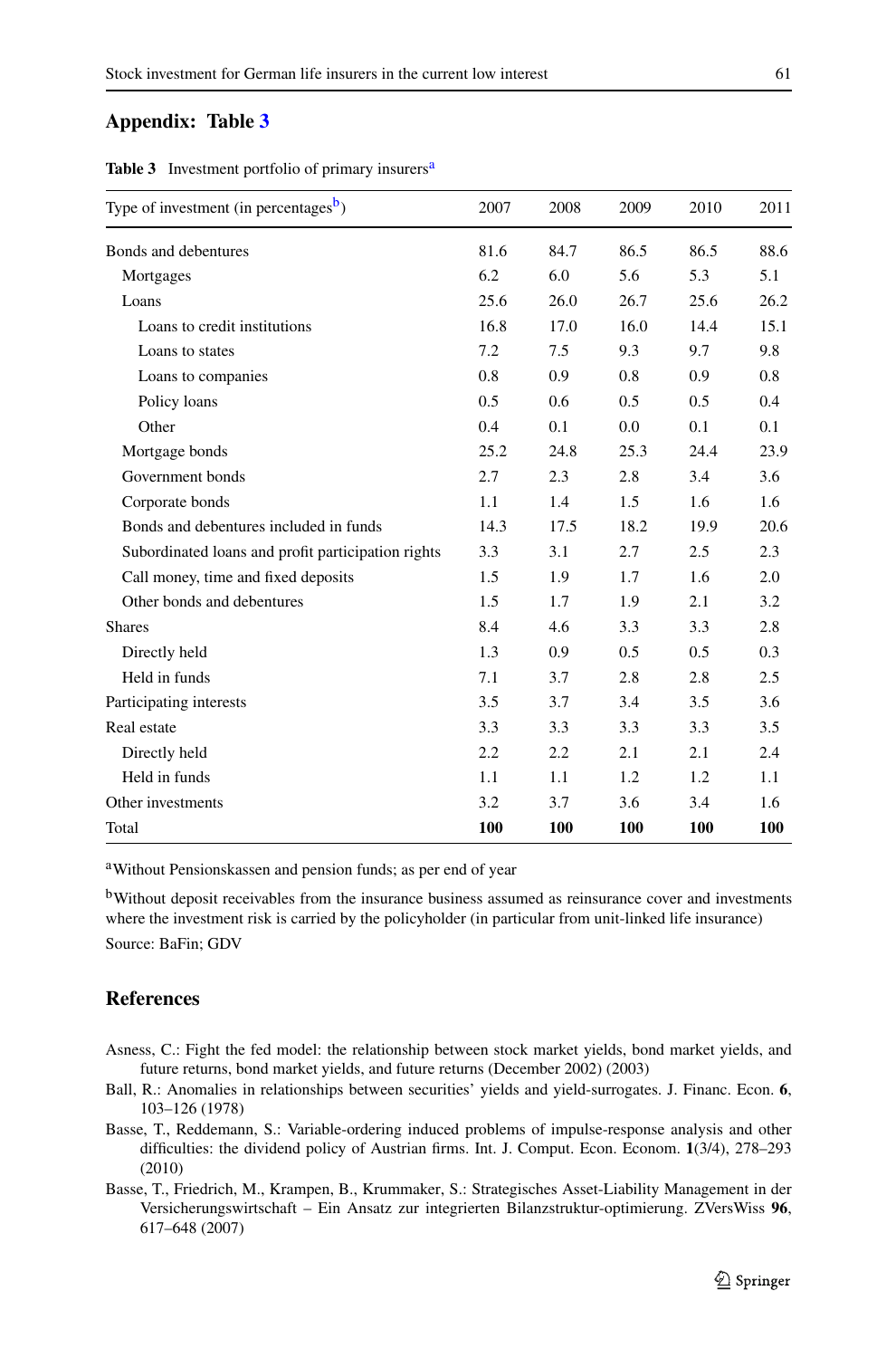#### <span id="page-17-5"></span><span id="page-17-0"></span>**Appendix: Table [3](#page-17-5)**

| Type of investment (in percentages <sup>b</sup> )  | 2007 | 2008 | 2009    | 2010 | 2011 |
|----------------------------------------------------|------|------|---------|------|------|
| Bonds and debentures                               | 81.6 | 84.7 | 86.5    | 86.5 | 88.6 |
| Mortgages                                          | 6.2  | 6.0  | 5.6     | 5.3  | 5.1  |
| Loans                                              | 25.6 | 26.0 | 26.7    | 25.6 | 26.2 |
| Loans to credit institutions                       | 16.8 | 17.0 | 16.0    | 14.4 | 15.1 |
| Loans to states                                    | 7.2  | 7.5  | 9.3     | 9.7  | 9.8  |
| Loans to companies                                 | 0.8  | 0.9  | 0.8     | 0.9  | 0.8  |
| Policy loans                                       | 0.5  | 0.6  | 0.5     | 0.5  | 0.4  |
| Other                                              | 0.4  | 0.1  | 0.0     | 0.1  | 0.1  |
| Mortgage bonds                                     | 25.2 | 24.8 | 25.3    | 24.4 | 23.9 |
| Government bonds                                   | 2.7  | 2.3  | 2.8     | 3.4  | 3.6  |
| Corporate bonds                                    | 1.1  | 1.4  | $1.5\,$ | 1.6  | 1.6  |
| Bonds and debentures included in funds             | 14.3 | 17.5 | 18.2    | 19.9 | 20.6 |
| Subordinated loans and profit participation rights | 3.3  | 3.1  | 2.7     | 2.5  | 2.3  |
| Call money, time and fixed deposits                | 1.5  | 1.9  | 1.7     | 1.6  | 2.0  |
| Other bonds and debentures                         | 1.5  | 1.7  | 1.9     | 2.1  | 3.2  |
| <b>Shares</b>                                      | 8.4  | 4.6  | 3.3     | 3.3  | 2.8  |
| Directly held                                      | 1.3  | 0.9  | 0.5     | 0.5  | 0.3  |
| Held in funds                                      | 7.1  | 3.7  | 2.8     | 2.8  | 2.5  |
| Participating interests                            | 3.5  | 3.7  | 3.4     | 3.5  | 3.6  |
| Real estate                                        | 3.3  | 3.3  | 3.3     | 3.3  | 3.5  |
| Directly held                                      | 2.2  | 2.2  | 2.1     | 2.1  | 2.4  |
| Held in funds                                      | 1.1  | 1.1  | 1.2     | 1.2  | 1.1  |
| Other investments                                  | 3.2  | 3.7  | 3.6     | 3.4  | 1.6  |
| Total                                              | 100  | 100  | 100     | 100  | 100  |

Table 3 Investment portfolio of primary insurers<sup>a</sup>

<span id="page-17-7"></span><span id="page-17-6"></span><span id="page-17-4"></span>aWithout Pensionskassen and pension funds; as per end of year

<span id="page-17-2"></span><span id="page-17-1"></span>bWithout deposit receivables from the insurance business assumed as reinsurance cover and investments where the investment risk is carried by the policyholder (in particular from unit-linked life insurance) Source: BaFin; GDV

### <span id="page-17-3"></span>**References**

- Asness, C.: Fight the fed model: the relationship between stock market yields, bond market yields, and future returns, bond market yields, and future returns (December 2002) (2003)
- Ball, R.: Anomalies in relationships between securities' yields and yield-surrogates. J. Financ. Econ. **6**, 103–126 (1978)
- Basse, T., Reddemann, S.: Variable-ordering induced problems of impulse-response analysis and other difficulties: the dividend policy of Austrian firms. Int. J. Comput. Econ. Econom. **1**(3/4), 278–293 (2010)
- Basse, T., Friedrich, M., Krampen, B., Krummaker, S.: Strategisches Asset-Liability Management in der Versicherungswirtschaft – Ein Ansatz zur integrierten Bilanzstruktur-optimierung. ZVersWiss **96**, 617–648 (2007)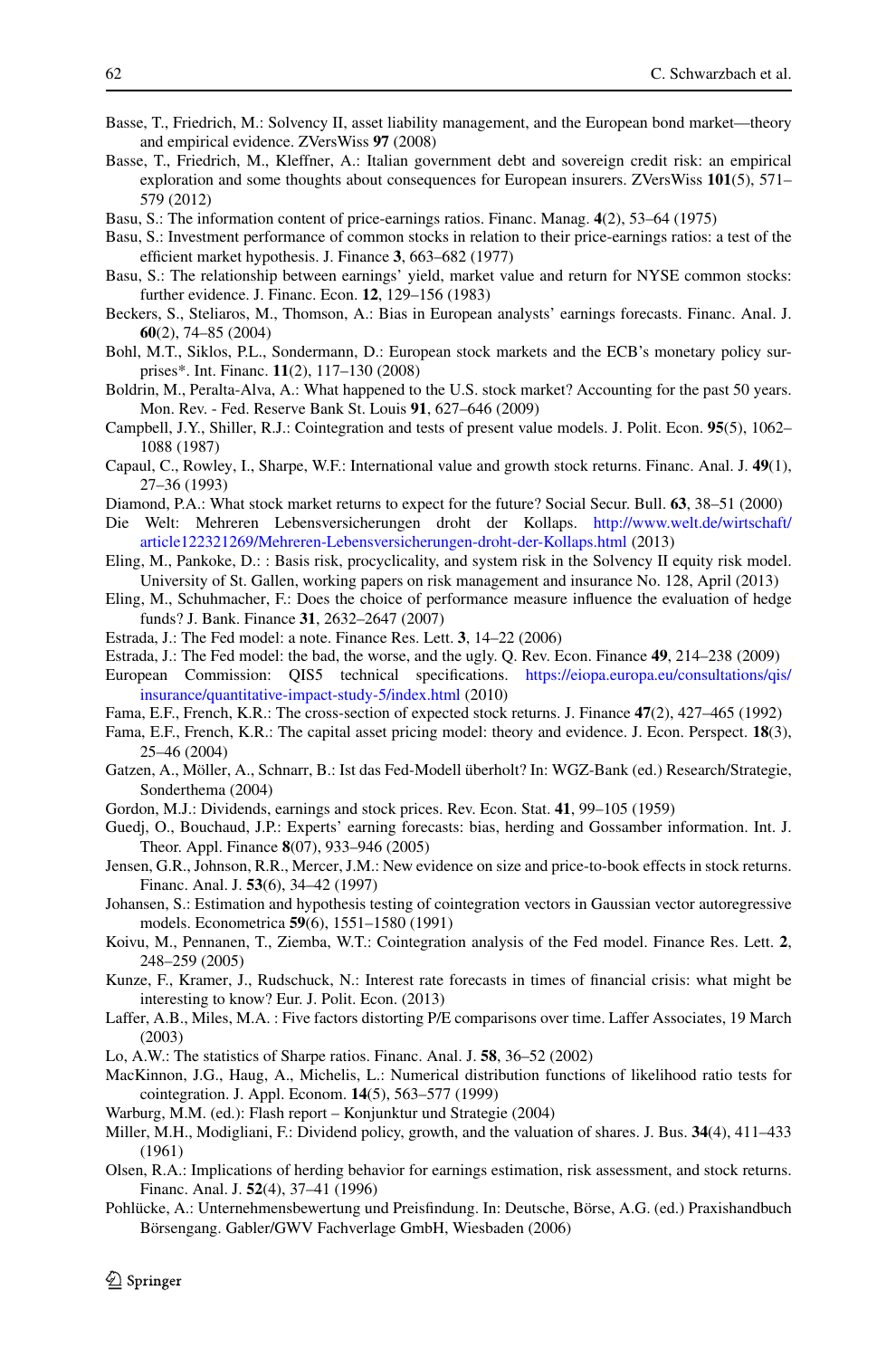- <span id="page-18-32"></span><span id="page-18-27"></span><span id="page-18-18"></span><span id="page-18-17"></span><span id="page-18-16"></span><span id="page-18-2"></span>Basse, T., Friedrich, M.: Solvency II, asset liability management, and the European bond market—theory and empirical evidence. ZVersWiss **97** (2008)
- <span id="page-18-29"></span>Basse, T., Friedrich, M., Kleffner, A.: Italian government debt and sovereign credit risk: an empirical exploration and some thoughts about consequences for European insurers. ZVersWiss **101**(5), 571– 579 (2012)
- <span id="page-18-7"></span>Basu, S.: The information content of price-earnings ratios. Financ. Manag. **4**(2), 53–64 (1975)
- <span id="page-18-8"></span>Basu, S.: Investment performance of common stocks in relation to their price-earnings ratios: a test of the efficient market hypothesis. J. Finance **3**, 663–682 (1977)
- <span id="page-18-10"></span>Basu, S.: The relationship between earnings' yield, market value and return for NYSE common stocks: further evidence. J. Financ. Econ. **12**, 129–156 (1983)
- <span id="page-18-31"></span><span id="page-18-6"></span>Beckers, S., Steliaros, M., Thomson, A.: Bias in European analysts' earnings forecasts. Financ. Anal. J. **60**(2), 74–85 (2004)
- Bohl, M.T., Siklos, P.L., Sondermann, D.: European stock markets and the ECB's monetary policy surprises\*. Int. Financ. **11**(2), 117–130 (2008)
- <span id="page-18-1"></span>Boldrin, M., Peralta-Alva, A.: What happened to the U.S. stock market? Accounting for the past 50 years. Mon. Rev. - Fed. Reserve Bank St. Louis **91**, 627–646 (2009)
- <span id="page-18-3"></span>Campbell, J.Y., Shiller, R.J.: Cointegration and tests of present value models. J. Polit. Econ. **95**(5), 1062– 1088 (1987)
- <span id="page-18-24"></span><span id="page-18-23"></span><span id="page-18-0"></span>Capaul, C., Rowley, I., Sharpe, W.F.: International value and growth stock returns. Financ. Anal. J. **49**(1), 27–36 (1993)
- Diamond, P.A.: What stock market returns to expect for the future? Social Secur. Bull. **63**, 38–51 (2000)
- <span id="page-18-12"></span>Die Welt: Mehreren Lebensversicherungen droht der Kollaps. [http://www.welt.de/wirtschaft/](http://www.welt.de/wirtschaft/article122321269/Mehreren-Lebensversicherungen-droht-der-Kollaps.html) [article122321269/Mehreren-Lebensversicherungen-droht-der-Kollaps.html](http://www.welt.de/wirtschaft/article122321269/Mehreren-Lebensversicherungen-droht-der-Kollaps.html) (2013)
- <span id="page-18-13"></span>Eling, M., Pankoke, D.: : Basis risk, procyclicality, and system risk in the Solvency II equity risk model. University of St. Gallen, working papers on risk management and insurance No. 128, April (2013)
- <span id="page-18-25"></span>Eling, M., Schuhmacher, F.: Does the choice of performance measure influence the evaluation of hedge funds? J. Bank. Finance **31**, 2632–2647 (2007)
- <span id="page-18-28"></span><span id="page-18-21"></span>Estrada, J.: The Fed model: a note. Finance Res. Lett. **3**, 14–22 (2006)
- Estrada, J.: The Fed model: the bad, the worse, and the ugly. Q. Rev. Econ. Finance **49**, 214–238 (2009)
- <span id="page-18-11"></span>European Commission: QIS5 technical specifications. [https://eiopa.europa.eu/consultations/qis/](https://eiopa.europa.eu/consultations/qis/insurance/quantitative-impact-study-5/index.html) [insurance/quantitative-impact-study-5/index.html](https://eiopa.europa.eu/consultations/qis/insurance/quantitative-impact-study-5/index.html) (2010)
- <span id="page-18-19"></span>Fama, E.F., French, K.R.: The cross-section of expected stock returns. J. Finance **47**(2), 427–465 (1992)
- Fama, E.F., French, K.R.: The capital asset pricing model: theory and evidence. J. Econ. Perspect. **18**(3), 25–46 (2004)
- <span id="page-18-22"></span>Gatzen, A., Möller, A., Schnarr, B.: Ist das Fed-Modell überholt? In: WGZ-Bank (ed.) Research/Strategie, Sonderthema (2004)
- <span id="page-18-30"></span>Gordon, M.J.: Dividends, earnings and stock prices. Rev. Econ. Stat. **41**, 99–105 (1959)
- <span id="page-18-15"></span>Guedj, O., Bouchaud, J.P.: Experts' earning forecasts: bias, herding and Gossamber information. Int. J. Theor. Appl. Finance **8**(07), 933–946 (2005)
- <span id="page-18-20"></span><span id="page-18-4"></span>Jensen, G.R., Johnson, R.R., Mercer, J.M.: New evidence on size and price-to-book effects in stock returns. Financ. Anal. J. **53**(6), 34–42 (1997)
- Johansen, S.: Estimation and hypothesis testing of cointegration vectors in Gaussian vector autoregressive models. Econometrica **59**(6), 1551–1580 (1991)
- <span id="page-18-14"></span><span id="page-18-5"></span>Koivu, M., Pennanen, T., Ziemba, W.T.: Cointegration analysis of the Fed model. Finance Res. Lett. **2**, 248–259 (2005)
- <span id="page-18-26"></span>Kunze, F., Kramer, J., Rudschuck, N.: Interest rate forecasts in times of financial crisis: what might be interesting to know? Eur. J. Polit. Econ. (2013)
- <span id="page-18-9"></span>Laffer, A.B., Miles, M.A. : Five factors distorting P/E comparisons over time. Laffer Associates, 19 March (2003)
- Lo, A.W.: The statistics of Sharpe ratios. Financ. Anal. J. **58**, 36–52 (2002)
- MacKinnon, J.G., Haug, A., Michelis, L.: Numerical distribution functions of likelihood ratio tests for cointegration. J. Appl. Econom. **14**(5), 563–577 (1999)
- Warburg, M.M. (ed.): Flash report Konjunktur und Strategie (2004)
- Miller, M.H., Modigliani, F.: Dividend policy, growth, and the valuation of shares. J. Bus. **34**(4), 411–433 (1961)
- Olsen, R.A.: Implications of herding behavior for earnings estimation, risk assessment, and stock returns. Financ. Anal. J. **52**(4), 37–41 (1996)
- Pohlücke, A.: Unternehmensbewertung und Preisfindung. In: Deutsche, Börse, A.G. (ed.) Praxishandbuch Börsengang. Gabler/GWV Fachverlage GmbH, Wiesbaden (2006)